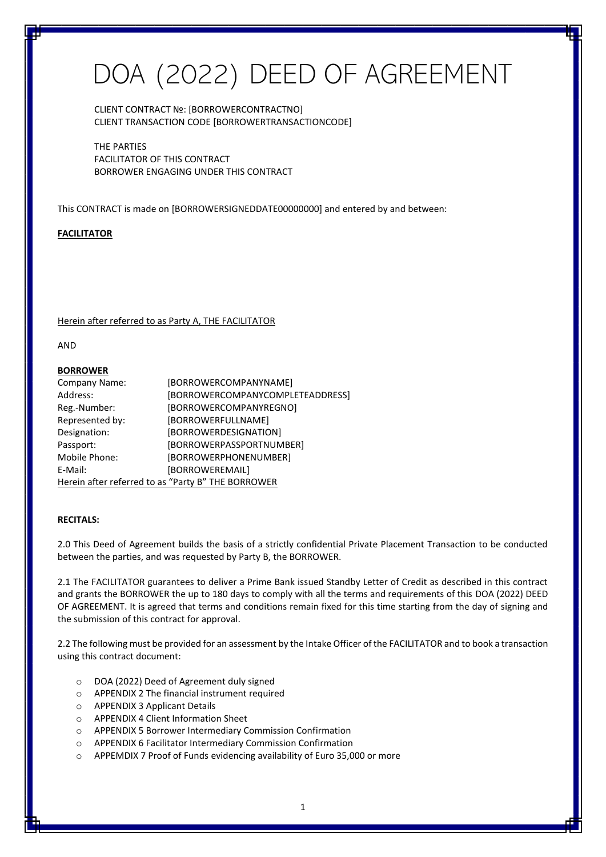# DOA (2022) DEED OF AGREEMENT

CLIENT CONTRACT №: [BORROWERCONTRACTNO] CLIENT TRANSACTION CODE [BORROWERTRANSACTIONCODE]

THE PARTIES FACILITATOR OF THIS CONTRACT BORROWER ENGAGING UNDER THIS CONTRACT

This CONTRACT is made on [BORROWERSIGNEDDATE00000000] and entered by and between:

### **FACILITATOR**

Herein after referred to as Party A, THE FACILITATOR

AND

#### **BORROWER**

| Company Name:                                      | [BORROWERCOMPANYNAME]            |  |
|----------------------------------------------------|----------------------------------|--|
| Address:                                           | [BORROWERCOMPANYCOMPLETEADDRESS] |  |
| Reg.-Number:                                       | [BORROWERCOMPANYREGNO]           |  |
| Represented by:                                    | [BORROWERFULLNAME]               |  |
| Designation:                                       | [BORROWERDESIGNATION]            |  |
| Passport:                                          | [BORROWERPASSPORTNUMBER]         |  |
| Mobile Phone:                                      | [BORROWERPHONENUMBER]            |  |
| E-Mail:                                            | [BORROWEREMAIL]                  |  |
| Herein after referred to as "Party B" THE BORROWER |                                  |  |

#### **RECITALS:**

2.0 This Deed of Agreement builds the basis of a strictly confidential Private Placement Transaction to be conducted between the parties, and was requested by Party B, the BORROWER.

2.1 The FACILITATOR guarantees to deliver a Prime Bank issued Standby Letter of Credit as described in this contract and grants the BORROWER the up to 180 days to comply with all the terms and requirements of this DOA (2022) DEED OF AGREEMENT. It is agreed that terms and conditions remain fixed for this time starting from the day of signing and the submission of this contract for approval.

2.2 The following must be provided for an assessment by the Intake Officer of the FACILITATOR and to book a transaction using this contract document:

- o DOA (2022) Deed of Agreement duly signed
- o APPENDIX 2 The financial instrument required
- o APPENDIX 3 Applicant Details
- o APPENDIX 4 Client Information Sheet
- o APPENDIX 5 Borrower Intermediary Commission Confirmation
- o APPENDIX 6 Facilitator Intermediary Commission Confirmation
- o APPEMDIX 7 Proof of Funds evidencing availability of Euro 35,000 or more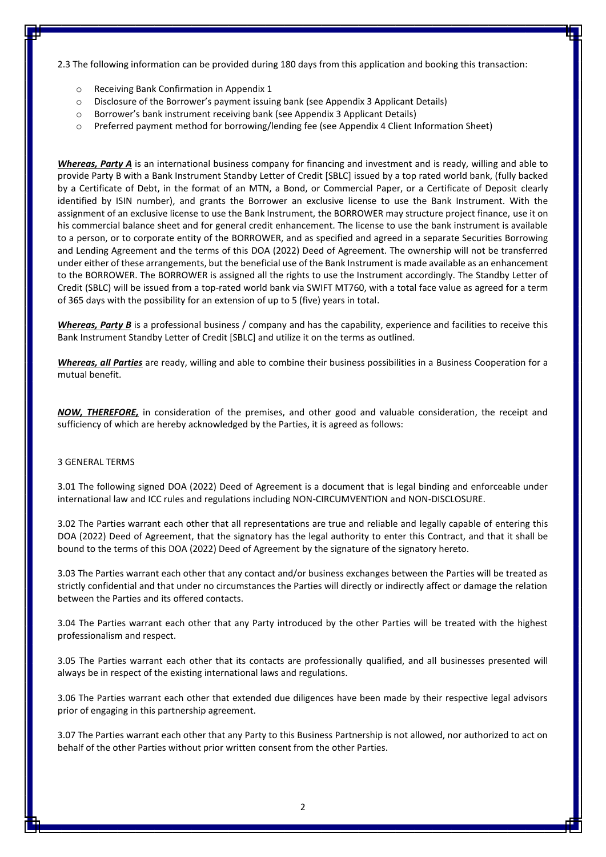2.3 The following information can be provided during 180 days from this application and booking this transaction:

- o Receiving Bank Confirmation in Appendix 1
- o Disclosure of the Borrower's payment issuing bank (see Appendix 3 Applicant Details)
- o Borrower's bank instrument receiving bank (see Appendix 3 Applicant Details)
- o Preferred payment method for borrowing/lending fee (see Appendix 4 Client Information Sheet)

*Whereas, Party A* is an international business company for financing and investment and is ready, willing and able to provide Party B with a Bank Instrument Standby Letter of Credit [SBLC] issued by a top rated world bank, (fully backed by a Certificate of Debt, in the format of an MTN, a Bond, or Commercial Paper, or a Certificate of Deposit clearly identified by ISIN number), and grants the Borrower an exclusive license to use the Bank Instrument. With the assignment of an exclusive license to use the Bank Instrument, the BORROWER may structure project finance, use it on his commercial balance sheet and for general credit enhancement. The license to use the bank instrument is available to a person, or to corporate entity of the BORROWER, and as specified and agreed in a separate Securities Borrowing and Lending Agreement and the terms of this DOA (2022) Deed of Agreement. The ownership will not be transferred under either of these arrangements, but the beneficial use of the Bank Instrument is made available as an enhancement to the BORROWER. The BORROWER is assigned all the rights to use the Instrument accordingly. The Standby Letter of Credit (SBLC) will be issued from a top-rated world bank via SWIFT MT760, with a total face value as agreed for a term of 365 days with the possibility for an extension of up to 5 (five) years in total.

*Whereas, Party B* is a professional business / company and has the capability, experience and facilities to receive this Bank Instrument Standby Letter of Credit [SBLC] and utilize it on the terms as outlined.

*Whereas, all Parties* are ready, willing and able to combine their business possibilities in a Business Cooperation for a mutual benefit.

*NOW, THEREFORE,* in consideration of the premises, and other good and valuable consideration, the receipt and sufficiency of which are hereby acknowledged by the Parties, it is agreed as follows:

### 3 GENERAL TERMS

3.01 The following signed DOA (2022) Deed of Agreement is a document that is legal binding and enforceable under international law and ICC rules and regulations including NON-CIRCUMVENTION and NON-DISCLOSURE.

3.02 The Parties warrant each other that all representations are true and reliable and legally capable of entering this DOA (2022) Deed of Agreement, that the signatory has the legal authority to enter this Contract, and that it shall be bound to the terms of this DOA (2022) Deed of Agreement by the signature of the signatory hereto.

3.03 The Parties warrant each other that any contact and/or business exchanges between the Parties will be treated as strictly confidential and that under no circumstances the Parties will directly or indirectly affect or damage the relation between the Parties and its offered contacts.

3.04 The Parties warrant each other that any Party introduced by the other Parties will be treated with the highest professionalism and respect.

3.05 The Parties warrant each other that its contacts are professionally qualified, and all businesses presented will always be in respect of the existing international laws and regulations.

3.06 The Parties warrant each other that extended due diligences have been made by their respective legal advisors prior of engaging in this partnership agreement.

3.07 The Parties warrant each other that any Party to this Business Partnership is not allowed, nor authorized to act on behalf of the other Parties without prior written consent from the other Parties.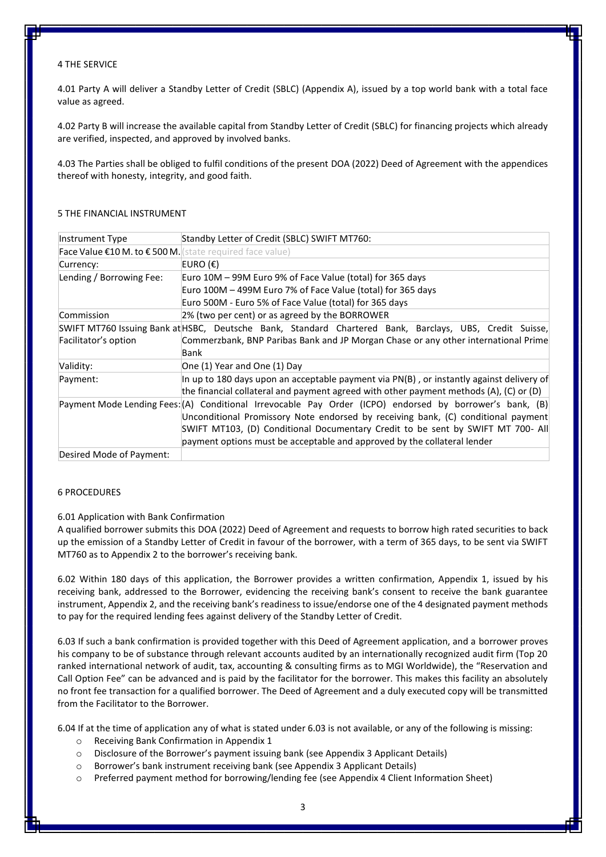### 4 THE SERVICE

4.01 Party A will deliver a Standby Letter of Credit (SBLC) (Appendix A), issued by a top world bank with a total face value as agreed.

4.02 Party B will increase the available capital from Standby Letter of Credit (SBLC) for financing projects which already are verified, inspected, and approved by involved banks.

4.03 The Parties shall be obliged to fulfil conditions of the present DOA (2022) Deed of Agreement with the appendices thereof with honesty, integrity, and good faith.

| Instrument Type                                                    | Standby Letter of Credit (SBLC) SWIFT MT760:                                                             |
|--------------------------------------------------------------------|----------------------------------------------------------------------------------------------------------|
| Face Value $E10 M.$ to $E500 M$ <i>(state required face value)</i> |                                                                                                          |
| Currency:                                                          | EURO (€)                                                                                                 |
| Lending / Borrowing Fee:                                           | Euro 10M – 99M Euro 9% of Face Value (total) for 365 days                                                |
|                                                                    | Euro 100M – 499M Euro 7% of Face Value (total) for 365 days                                              |
|                                                                    | Euro 500M - Euro 5% of Face Value (total) for 365 days                                                   |
| Commission                                                         | 2% (two per cent) or as agreed by the BORROWER                                                           |
|                                                                    | SWIFT MT760 Issuing Bank at HSBC, Deutsche Bank, Standard Chartered Bank, Barclays, UBS, Credit Suisse,  |
| Facilitator's option                                               | Commerzbank, BNP Paribas Bank and JP Morgan Chase or any other international Prime                       |
|                                                                    | Bank                                                                                                     |
| Validity:                                                          | One (1) Year and One (1) Day                                                                             |
| Payment:                                                           | In up to 180 days upon an acceptable payment via PN(B), or instantly against delivery of                 |
|                                                                    | the financial collateral and payment agreed with other payment methods $(A)$ , $(C)$ or $(D)$            |
|                                                                    | Payment Mode Lending Fees: (A) Conditional Irrevocable Pay Order (ICPO) endorsed by borrower's bank, (B) |
|                                                                    | Unconditional Promissory Note endorsed by receiving bank, (C) conditional payment                        |
|                                                                    | SWIFT MT103, (D) Conditional Documentary Credit to be sent by SWIFT MT 700- All                          |
|                                                                    | payment options must be acceptable and approved by the collateral lender                                 |
| Desired Mode of Payment:                                           |                                                                                                          |

### 5 THE FINANCIAL INSTRUMENT

#### 6 PROCEDURES

### 6.01 Application with Bank Confirmation

A qualified borrower submits this DOA (2022) Deed of Agreement and requests to borrow high rated securities to back up the emission of a Standby Letter of Credit in favour of the borrower, with a term of 365 days, to be sent via SWIFT MT760 as to Appendix 2 to the borrower's receiving bank.

6.02 Within 180 days of this application, the Borrower provides a written confirmation, Appendix 1, issued by his receiving bank, addressed to the Borrower, evidencing the receiving bank's consent to receive the bank guarantee instrument, Appendix 2, and the receiving bank's readiness to issue/endorse one of the 4 designated payment methods to pay for the required lending fees against delivery of the Standby Letter of Credit.

6.03 If such a bank confirmation is provided together with this Deed of Agreement application, and a borrower proves his company to be of substance through relevant accounts audited by an internationally recognized audit firm (Top 20 ranked international network of audit, tax, accounting & consulting firms as to MGI Worldwide), the "Reservation and Call Option Fee" can be advanced and is paid by the facilitator for the borrower. This makes this facility an absolutely no front fee transaction for a qualified borrower. The Deed of Agreement and a duly executed copy will be transmitted from the Facilitator to the Borrower.

6.04 If at the time of application any of what is stated under 6.03 is not available, or any of the following is missing:

- o Receiving Bank Confirmation in Appendix 1
- o Disclosure of the Borrower's payment issuing bank (see Appendix 3 Applicant Details)
- o Borrower's bank instrument receiving bank (see Appendix 3 Applicant Details)
- o Preferred payment method for borrowing/lending fee (see Appendix 4 Client Information Sheet)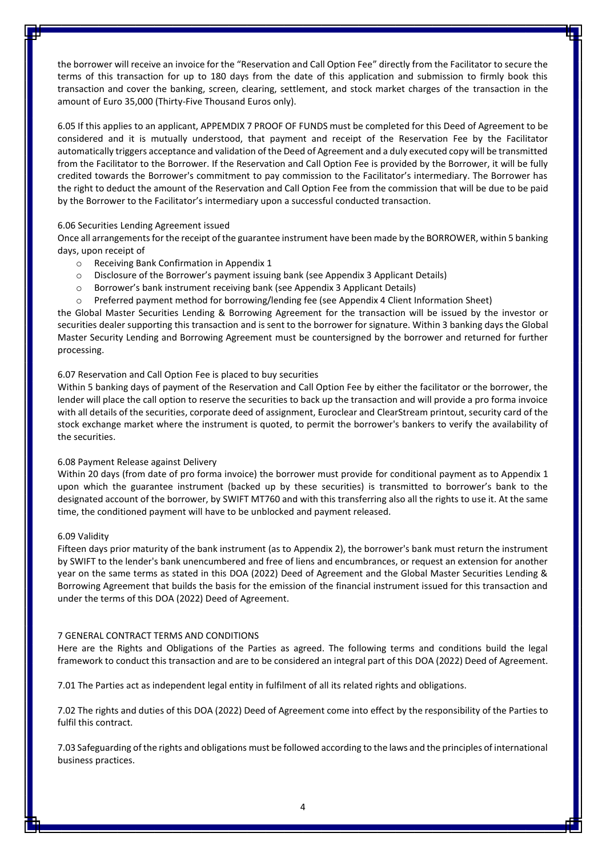the borrower will receive an invoice for the "Reservation and Call Option Fee" directly from the Facilitator to secure the terms of this transaction for up to 180 days from the date of this application and submission to firmly book this transaction and cover the banking, screen, clearing, settlement, and stock market charges of the transaction in the amount of Euro 35,000 (Thirty-Five Thousand Euros only).

6.05 If this applies to an applicant, APPEMDIX 7 PROOF OF FUNDS must be completed for this Deed of Agreement to be considered and it is mutually understood, that payment and receipt of the Reservation Fee by the Facilitator automatically triggers acceptance and validation of the Deed of Agreement and a duly executed copy will be transmitted from the Facilitator to the Borrower. If the Reservation and Call Option Fee is provided by the Borrower, it will be fully credited towards the Borrower's commitment to pay commission to the Facilitator's intermediary. The Borrower has the right to deduct the amount of the Reservation and Call Option Fee from the commission that will be due to be paid by the Borrower to the Facilitator's intermediary upon a successful conducted transaction.

### 6.06 Securities Lending Agreement issued

Once all arrangements for the receipt of the guarantee instrument have been made by the BORROWER, within 5 banking days, upon receipt of

- o Receiving Bank Confirmation in Appendix 1
- o Disclosure of the Borrower's payment issuing bank (see Appendix 3 Applicant Details)
- o Borrower's bank instrument receiving bank (see Appendix 3 Applicant Details)
- $\circ$  Preferred payment method for borrowing/lending fee (see Appendix 4 Client Information Sheet)

the Global Master Securities Lending & Borrowing Agreement for the transaction will be issued by the investor or securities dealer supporting this transaction and is sent to the borrower for signature. Within 3 banking days the Global Master Security Lending and Borrowing Agreement must be countersigned by the borrower and returned for further processing.

### 6.07 Reservation and Call Option Fee is placed to buy securities

Within 5 banking days of payment of the Reservation and Call Option Fee by either the facilitator or the borrower, the lender will place the call option to reserve the securities to back up the transaction and will provide a pro forma invoice with all details of the securities, corporate deed of assignment, Euroclear and ClearStream printout, security card of the stock exchange market where the instrument is quoted, to permit the borrower's bankers to verify the availability of the securities.

### 6.08 Payment Release against Delivery

Within 20 days (from date of pro forma invoice) the borrower must provide for conditional payment as to Appendix 1 upon which the guarantee instrument (backed up by these securities) is transmitted to borrower's bank to the designated account of the borrower, by SWIFT MT760 and with this transferring also all the rights to use it. At the same time, the conditioned payment will have to be unblocked and payment released.

### 6.09 Validity

Fifteen days prior maturity of the bank instrument (as to Appendix 2), the borrower's bank must return the instrument by SWIFT to the lender's bank unencumbered and free of liens and encumbrances, or request an extension for another year on the same terms as stated in this DOA (2022) Deed of Agreement and the Global Master Securities Lending & Borrowing Agreement that builds the basis for the emission of the financial instrument issued for this transaction and under the terms of this DOA (2022) Deed of Agreement.

### 7 GENERAL CONTRACT TERMS AND CONDITIONS

Here are the Rights and Obligations of the Parties as agreed. The following terms and conditions build the legal framework to conduct this transaction and are to be considered an integral part of this DOA (2022) Deed of Agreement.

7.01 The Parties act as independent legal entity in fulfilment of all its related rights and obligations.

7.02 The rights and duties of this DOA (2022) Deed of Agreement come into effect by the responsibility of the Parties to fulfil this contract.

7.03 Safeguarding of the rights and obligations must be followed according to the laws and the principles of international business practices.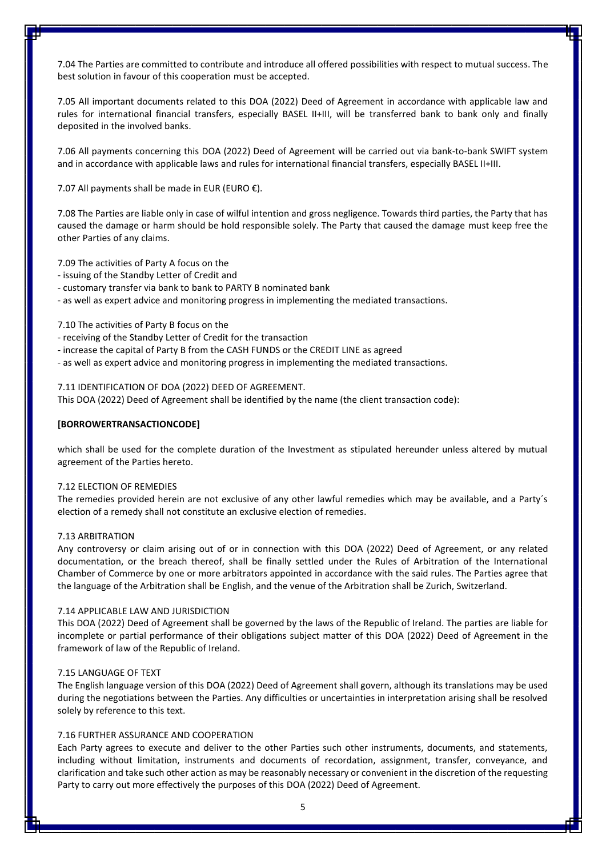7.04 The Parties are committed to contribute and introduce all offered possibilities with respect to mutual success. The best solution in favour of this cooperation must be accepted.

7.05 All important documents related to this DOA (2022) Deed of Agreement in accordance with applicable law and rules for international financial transfers, especially BASEL II+III, will be transferred bank to bank only and finally deposited in the involved banks.

7.06 All payments concerning this DOA (2022) Deed of Agreement will be carried out via bank-to-bank SWIFT system and in accordance with applicable laws and rules for international financial transfers, especially BASEL II+III.

7.07 All payments shall be made in EUR (EURO  $E$ ).

7.08 The Parties are liable only in case of wilful intention and gross negligence. Towards third parties, the Party that has caused the damage or harm should be hold responsible solely. The Party that caused the damage must keep free the other Parties of any claims.

7.09 The activities of Party A focus on the

- issuing of the Standby Letter of Credit and
- customary transfer via bank to bank to PARTY B nominated bank

- as well as expert advice and monitoring progress in implementing the mediated transactions.

7.10 The activities of Party B focus on the

- receiving of the Standby Letter of Credit for the transaction

- increase the capital of Party B from the CASH FUNDS or the CREDIT LINE as agreed
- as well as expert advice and monitoring progress in implementing the mediated transactions.

7.11 IDENTIFICATION OF DOA (2022) DEED OF AGREEMENT.

This DOA (2022) Deed of Agreement shall be identified by the name (the client transaction code):

#### **[BORROWERTRANSACTIONCODE]**

which shall be used for the complete duration of the Investment as stipulated hereunder unless altered by mutual agreement of the Parties hereto.

### 7.12 ELECTION OF REMEDIES

The remedies provided herein are not exclusive of any other lawful remedies which may be available, and a Party´s election of a remedy shall not constitute an exclusive election of remedies.

### 7.13 ARBITRATION

Any controversy or claim arising out of or in connection with this DOA (2022) Deed of Agreement, or any related documentation, or the breach thereof, shall be finally settled under the Rules of Arbitration of the International Chamber of Commerce by one or more arbitrators appointed in accordance with the said rules. The Parties agree that the language of the Arbitration shall be English, and the venue of the Arbitration shall be Zurich, Switzerland.

### 7.14 APPLICABLE LAW AND JURISDICTION

This DOA (2022) Deed of Agreement shall be governed by the laws of the Republic of Ireland. The parties are liable for incomplete or partial performance of their obligations subject matter of this DOA (2022) Deed of Agreement in the framework of law of the Republic of Ireland.

### 7.15 LANGUAGE OF TEXT

The English language version of this DOA (2022) Deed of Agreement shall govern, although its translations may be used during the negotiations between the Parties. Any difficulties or uncertainties in interpretation arising shall be resolved solely by reference to this text.

### 7.16 FURTHER ASSURANCE AND COOPERATION

Each Party agrees to execute and deliver to the other Parties such other instruments, documents, and statements, including without limitation, instruments and documents of recordation, assignment, transfer, conveyance, and clarification and take such other action as may be reasonably necessary or convenient in the discretion of the requesting Party to carry out more effectively the purposes of this DOA (2022) Deed of Agreement.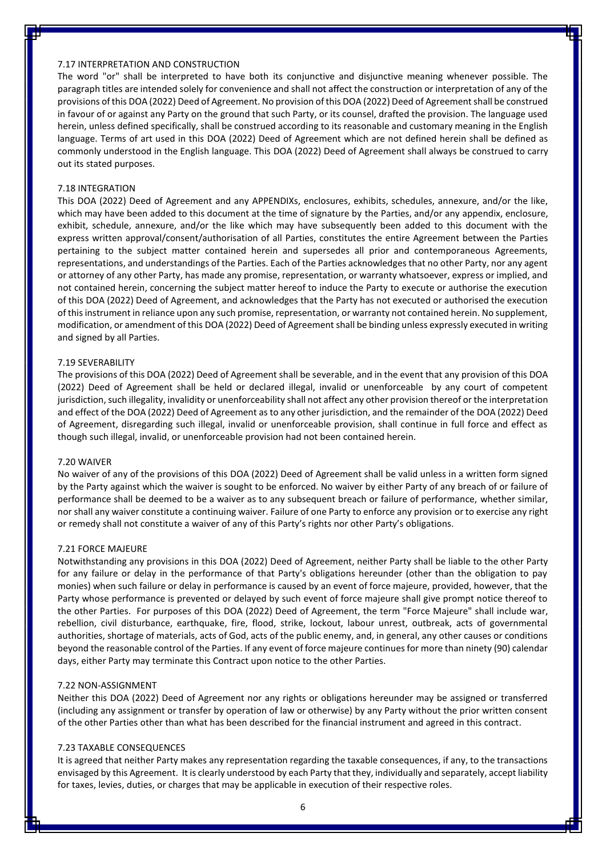### 7.17 INTERPRETATION AND CONSTRUCTION

The word "or" shall be interpreted to have both its conjunctive and disjunctive meaning whenever possible. The paragraph titles are intended solely for convenience and shall not affect the construction or interpretation of any of the provisions of this DOA (2022) Deed of Agreement. No provision of this DOA (2022) Deed of Agreementshall be construed in favour of or against any Party on the ground that such Party, or its counsel, drafted the provision. The language used herein, unless defined specifically, shall be construed according to its reasonable and customary meaning in the English language. Terms of art used in this DOA (2022) Deed of Agreement which are not defined herein shall be defined as commonly understood in the English language. This DOA (2022) Deed of Agreement shall always be construed to carry out its stated purposes.

#### 7.18 INTEGRATION

This DOA (2022) Deed of Agreement and any APPENDIXs, enclosures, exhibits, schedules, annexure, and/or the like, which may have been added to this document at the time of signature by the Parties, and/or any appendix, enclosure, exhibit, schedule, annexure, and/or the like which may have subsequently been added to this document with the express written approval/consent/authorisation of all Parties, constitutes the entire Agreement between the Parties pertaining to the subject matter contained herein and supersedes all prior and contemporaneous Agreements, representations, and understandings of the Parties. Each of the Parties acknowledges that no other Party, nor any agent or attorney of any other Party, has made any promise, representation, or warranty whatsoever, express or implied, and not contained herein, concerning the subject matter hereof to induce the Party to execute or authorise the execution of this DOA (2022) Deed of Agreement, and acknowledges that the Party has not executed or authorised the execution of this instrument in reliance upon any such promise, representation, or warranty not contained herein. No supplement, modification, or amendment of this DOA (2022) Deed of Agreementshall be binding unless expressly executed in writing and signed by all Parties.

#### 7.19 SEVERABILITY

The provisions of this DOA (2022) Deed of Agreement shall be severable, and in the event that any provision of this DOA (2022) Deed of Agreement shall be held or declared illegal, invalid or unenforceable by any court of competent jurisdiction, such illegality, invalidity or unenforceability shall not affect any other provision thereof or the interpretation and effect of the DOA (2022) Deed of Agreement as to any other jurisdiction, and the remainder of the DOA (2022) Deed of Agreement, disregarding such illegal, invalid or unenforceable provision, shall continue in full force and effect as though such illegal, invalid, or unenforceable provision had not been contained herein.

### 7.20 WAIVER

No waiver of any of the provisions of this DOA (2022) Deed of Agreement shall be valid unless in a written form signed by the Party against which the waiver is sought to be enforced. No waiver by either Party of any breach of or failure of performance shall be deemed to be a waiver as to any subsequent breach or failure of performance, whether similar, nor shall any waiver constitute a continuing waiver. Failure of one Party to enforce any provision or to exercise any right or remedy shall not constitute a waiver of any of this Party's rights nor other Party's obligations.

#### 7.21 FORCE MAJEURE

Notwithstanding any provisions in this DOA (2022) Deed of Agreement, neither Party shall be liable to the other Party for any failure or delay in the performance of that Party's obligations hereunder (other than the obligation to pay monies) when such failure or delay in performance is caused by an event of force majeure, provided, however, that the Party whose performance is prevented or delayed by such event of force majeure shall give prompt notice thereof to the other Parties. For purposes of this DOA (2022) Deed of Agreement, the term "Force Majeure" shall include war, rebellion, civil disturbance, earthquake, fire, flood, strike, lockout, labour unrest, outbreak, acts of governmental authorities, shortage of materials, acts of God, acts of the public enemy, and, in general, any other causes or conditions beyond the reasonable control of the Parties. If any event of force majeure continues for more than ninety (90) calendar days, either Party may terminate this Contract upon notice to the other Parties.

#### 7.22 NON-ASSIGNMENT

Neither this DOA (2022) Deed of Agreement nor any rights or obligations hereunder may be assigned or transferred (including any assignment or transfer by operation of law or otherwise) by any Party without the prior written consent of the other Parties other than what has been described for the financial instrument and agreed in this contract.

#### 7.23 TAXABLE CONSEQUENCES

It is agreed that neither Party makes any representation regarding the taxable consequences, if any, to the transactions envisaged by this Agreement. It is clearly understood by each Party that they, individually and separately, accept liability for taxes, levies, duties, or charges that may be applicable in execution of their respective roles.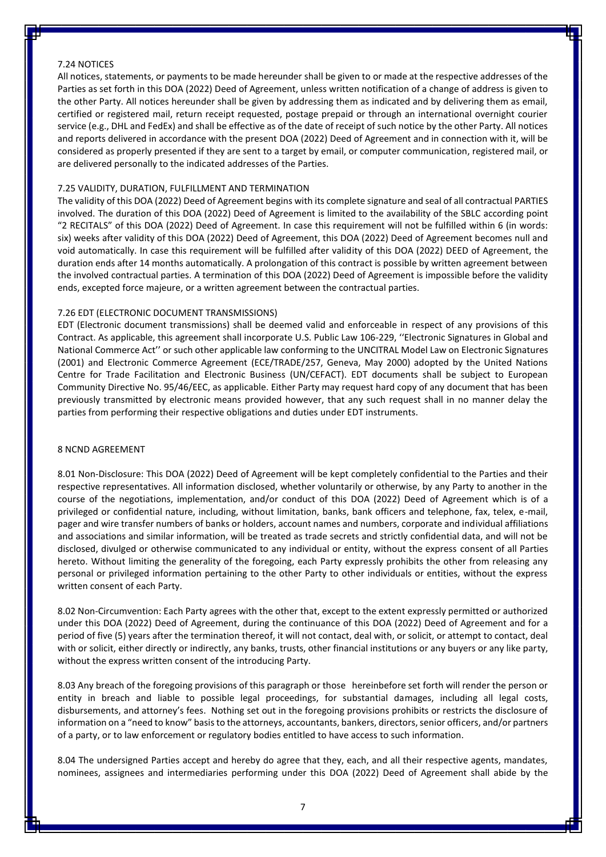### 7.24 NOTICES

All notices, statements, or payments to be made hereunder shall be given to or made at the respective addresses of the Parties as set forth in this DOA (2022) Deed of Agreement, unless written notification of a change of address is given to the other Party. All notices hereunder shall be given by addressing them as indicated and by delivering them as email, certified or registered mail, return receipt requested, postage prepaid or through an international overnight courier service (e.g., DHL and FedEx) and shall be effective as of the date of receipt of such notice by the other Party. All notices and reports delivered in accordance with the present DOA (2022) Deed of Agreement and in connection with it, will be considered as properly presented if they are sent to a target by email, or computer communication, registered mail, or are delivered personally to the indicated addresses of the Parties.

### 7.25 VALIDITY, DURATION, FULFILLMENT AND TERMINATION

The validity of this DOA (2022) Deed of Agreement begins with its complete signature and seal of all contractual PARTIES involved. The duration of this DOA (2022) Deed of Agreement is limited to the availability of the SBLC according point "2 RECITALS" of this DOA (2022) Deed of Agreement. In case this requirement will not be fulfilled within 6 (in words: six) weeks after validity of this DOA (2022) Deed of Agreement, this DOA (2022) Deed of Agreement becomes null and void automatically. In case this requirement will be fulfilled after validity of this DOA (2022) DEED of Agreement, the duration ends after 14 months automatically. A prolongation of this contract is possible by written agreement between the involved contractual parties. A termination of this DOA (2022) Deed of Agreement is impossible before the validity ends, excepted force majeure, or a written agreement between the contractual parties.

#### 7.26 EDT (ELECTRONIC DOCUMENT TRANSMISSIONS)

EDT (Electronic document transmissions) shall be deemed valid and enforceable in respect of any provisions of this Contract. As applicable, this agreement shall incorporate U.S. Public Law 106-229, ''Electronic Signatures in Global and National Commerce Act'' or such other applicable law conforming to the UNCITRAL Model Law on Electronic Signatures (2001) and Electronic Commerce Agreement (ECE/TRADE/257, Geneva, May 2000) adopted by the United Nations Centre for Trade Facilitation and Electronic Business (UN/CEFACT). EDT documents shall be subject to European Community Directive No. 95/46/EEC, as applicable. Either Party may request hard copy of any document that has been previously transmitted by electronic means provided however, that any such request shall in no manner delay the parties from performing their respective obligations and duties under EDT instruments.

### 8 NCND AGREEMENT

8.01 Non-Disclosure: This DOA (2022) Deed of Agreement will be kept completely confidential to the Parties and their respective representatives. All information disclosed, whether voluntarily or otherwise, by any Party to another in the course of the negotiations, implementation, and/or conduct of this DOA (2022) Deed of Agreement which is of a privileged or confidential nature, including, without limitation, banks, bank officers and telephone, fax, telex, e-mail, pager and wire transfer numbers of banks or holders, account names and numbers, corporate and individual affiliations and associations and similar information, will be treated as trade secrets and strictly confidential data, and will not be disclosed, divulged or otherwise communicated to any individual or entity, without the express consent of all Parties hereto. Without limiting the generality of the foregoing, each Party expressly prohibits the other from releasing any personal or privileged information pertaining to the other Party to other individuals or entities, without the express written consent of each Party.

8.02 Non-Circumvention: Each Party agrees with the other that, except to the extent expressly permitted or authorized under this DOA (2022) Deed of Agreement, during the continuance of this DOA (2022) Deed of Agreement and for a period of five (5) years after the termination thereof, it will not contact, deal with, or solicit, or attempt to contact, deal with or solicit, either directly or indirectly, any banks, trusts, other financial institutions or any buyers or any like party, without the express written consent of the introducing Party.

8.03 Any breach of the foregoing provisions of this paragraph or those hereinbefore set forth will render the person or entity in breach and liable to possible legal proceedings, for substantial damages, including all legal costs, disbursements, and attorney's fees. Nothing set out in the foregoing provisions prohibits or restricts the disclosure of information on a "need to know" basis to the attorneys, accountants, bankers, directors, senior officers, and/or partners of a party, or to law enforcement or regulatory bodies entitled to have access to such information.

8.04 The undersigned Parties accept and hereby do agree that they, each, and all their respective agents, mandates, nominees, assignees and intermediaries performing under this DOA (2022) Deed of Agreement shall abide by the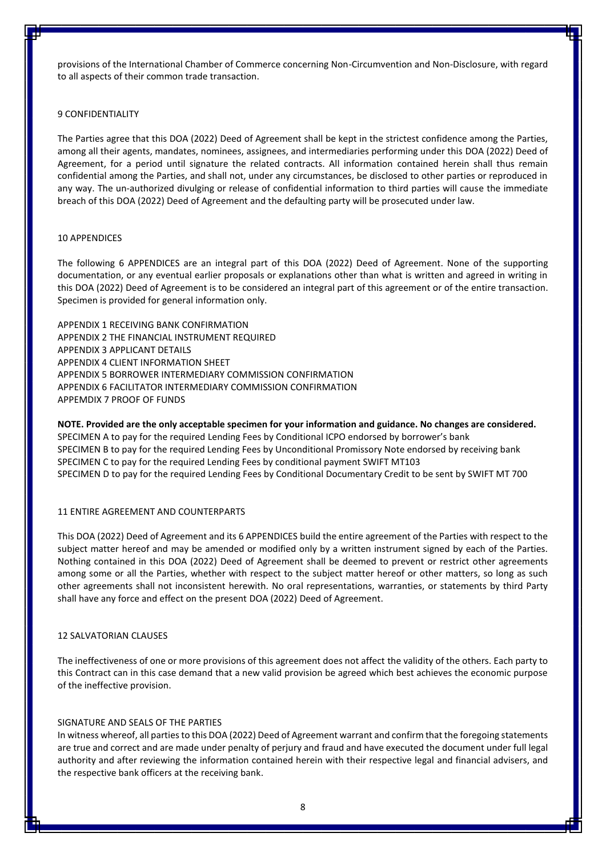provisions of the International Chamber of Commerce concerning Non-Circumvention and Non-Disclosure, with regard to all aspects of their common trade transaction.

### 9 CONFIDENTIALITY

The Parties agree that this DOA (2022) Deed of Agreement shall be kept in the strictest confidence among the Parties, among all their agents, mandates, nominees, assignees, and intermediaries performing under this DOA (2022) Deed of Agreement, for a period until signature the related contracts. All information contained herein shall thus remain confidential among the Parties, and shall not, under any circumstances, be disclosed to other parties or reproduced in any way. The un-authorized divulging or release of confidential information to third parties will cause the immediate breach of this DOA (2022) Deed of Agreement and the defaulting party will be prosecuted under law.

#### 10 APPENDICES

The following 6 APPENDICES are an integral part of this DOA (2022) Deed of Agreement. None of the supporting documentation, or any eventual earlier proposals or explanations other than what is written and agreed in writing in this DOA (2022) Deed of Agreement is to be considered an integral part of this agreement or of the entire transaction. Specimen is provided for general information only.

APPENDIX 1 RECEIVING BANK CONFIRMATION APPENDIX 2 THE FINANCIAL INSTRUMENT REQUIRED APPENDIX 3 APPLICANT DETAILS APPENDIX 4 CLIENT INFORMATION SHEET APPENDIX 5 BORROWER INTERMEDIARY COMMISSION CONFIRMATION APPENDIX 6 FACILITATOR INTERMEDIARY COMMISSION CONFIRMATION APPEMDIX 7 PROOF OF FUNDS

**NOTE. Provided are the only acceptable specimen for your information and guidance. No changes are considered.** SPECIMEN A to pay for the required Lending Fees by Conditional ICPO endorsed by borrower's bank SPECIMEN B to pay for the required Lending Fees by Unconditional Promissory Note endorsed by receiving bank SPECIMEN C to pay for the required Lending Fees by conditional payment SWIFT MT103 SPECIMEN D to pay for the required Lending Fees by Conditional Documentary Credit to be sent by SWIFT MT 700

### 11 ENTIRE AGREEMENT AND COUNTERPARTS

This DOA (2022) Deed of Agreement and its 6 APPENDICES build the entire agreement of the Parties with respect to the subject matter hereof and may be amended or modified only by a written instrument signed by each of the Parties. Nothing contained in this DOA (2022) Deed of Agreement shall be deemed to prevent or restrict other agreements among some or all the Parties, whether with respect to the subject matter hereof or other matters, so long as such other agreements shall not inconsistent herewith. No oral representations, warranties, or statements by third Party shall have any force and effect on the present DOA (2022) Deed of Agreement.

#### 12 [SALVATORIAN CLAUSES](https://www.lawinsider.com/clause/salvatorian-clause)

The ineffectiveness of one or more provisions of this agreement does not affect the validity of the others. Each party to this Contract can in this case demand that a new valid provision be agreed which best achieves the economic purpose of the ineffective provision.

#### SIGNATURE AND SEALS OF THE PARTIES

In witness whereof, all parties to this DOA (2022) Deed of Agreement warrant and confirm that the foregoing statements are true and correct and are made under penalty of perjury and fraud and have executed the document under full legal authority and after reviewing the information contained herein with their respective legal and financial advisers, and the respective bank officers at the receiving bank.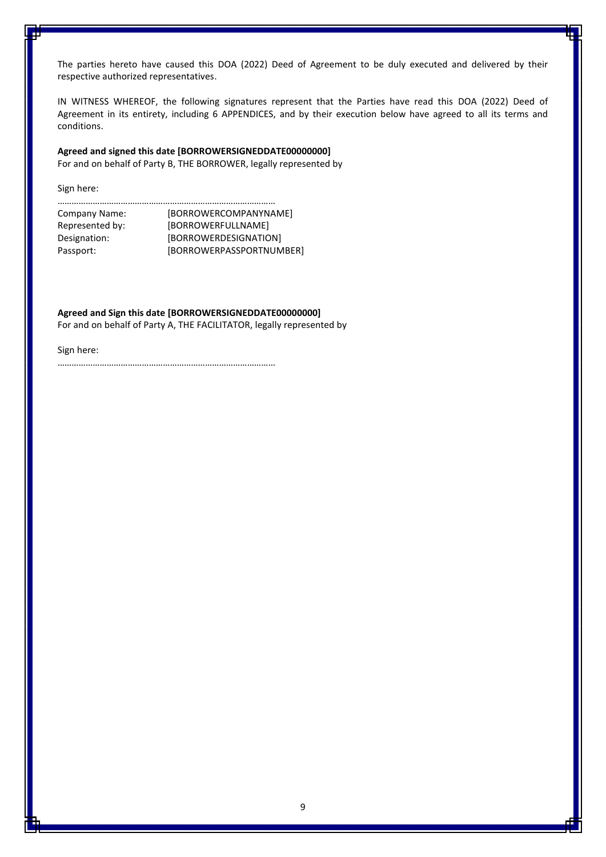The parties hereto have caused this DOA (2022) Deed of Agreement to be duly executed and delivered by their respective authorized representatives.

IN WITNESS WHEREOF, the following signatures represent that the Parties have read this DOA (2022) Deed of Agreement in its entirety, including 6 APPENDICES, and by their execution below have agreed to all its terms and conditions.

### **Agreed and signed this date [BORROWERSIGNEDDATE00000000]**

For and on behalf of Party B, THE BORROWER, legally represented by

Sign here:

| Company Name:   | [BORROWERCOMPANYNAME]    |
|-----------------|--------------------------|
| Represented by: | [BORROWERFULLNAME]       |
| Designation:    | [BORROWERDESIGNATION]    |
| Passport:       | [BORROWERPASSPORTNUMBER] |

**Agreed and Sign this date [BORROWERSIGNEDDATE00000000]** For and on behalf of Party A, THE FACILITATOR, legally represented by

Sign here: …………………………………………………………………………………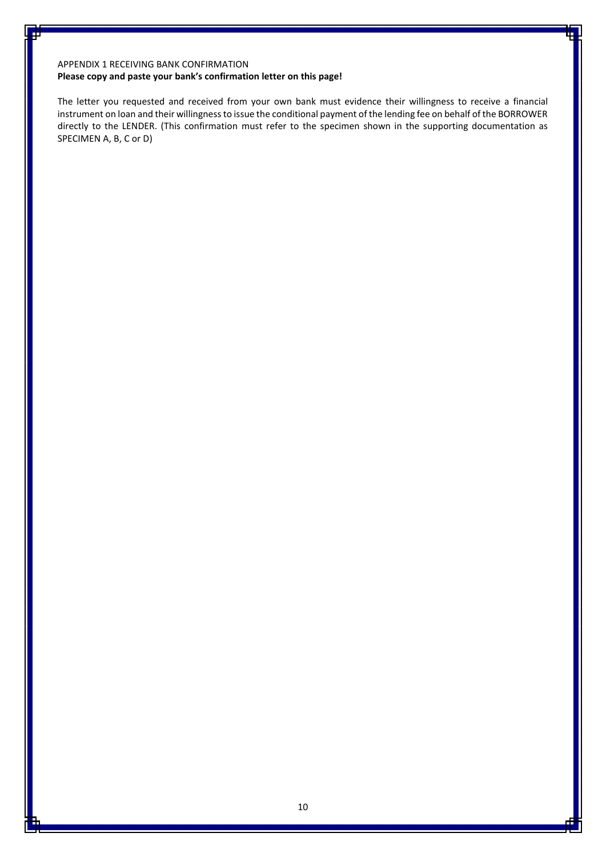### APPENDIX 1 RECEIVING BANK CONFIRMATION

### **Please copy and paste your bank's confirmation letter on this page!**

The letter you requested and received from your own bank must evidence their willingness to receive a financial instrument on loan and their willingness to issue the conditional payment of the lending fee on behalf of the BORROWER directly to the LENDER. (This confirmation must refer to the specimen shown in the supporting documentation as SPECIMEN A, B, C or D)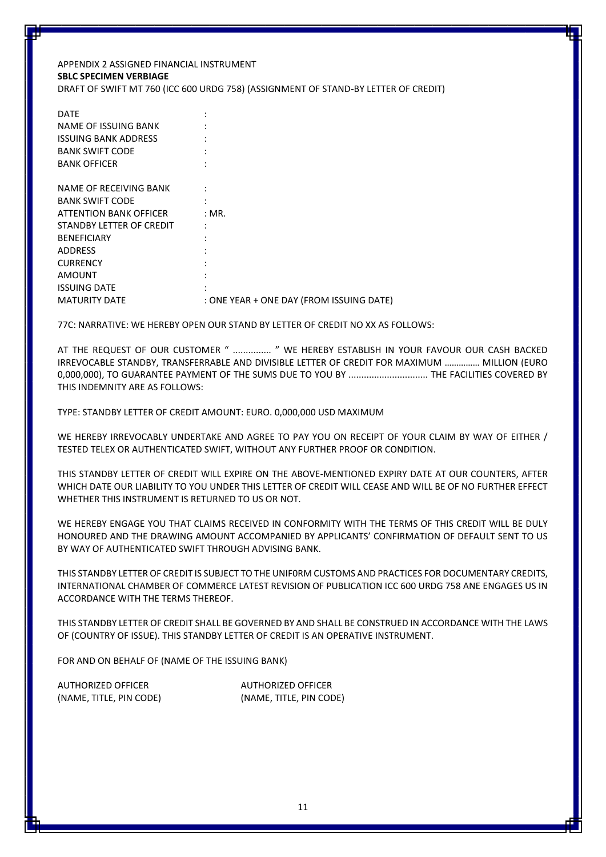### APPENDIX 2 ASSIGNED FINANCIAL INSTRUMENT **SBLC SPECIMEN VERBIAGE** DRAFT OF SWIFT MT 760 (ICC 600 URDG 758) (ASSIGNMENT OF STAND-BY LETTER OF CREDIT)

| <b>DATE</b>                 |                                          |
|-----------------------------|------------------------------------------|
| NAME OF ISSUING BANK        |                                          |
| <b>ISSUING BANK ADDRESS</b> |                                          |
| <b>BANK SWIFT CODE</b>      |                                          |
| <b>BANK OFFICER</b>         |                                          |
|                             |                                          |
| NAME OF RECEIVING BANK      |                                          |
| <b>BANK SWIFT CODE</b>      |                                          |
| ATTENTION BANK OFFICER      | : MR.                                    |
| STANDBY LETTER OF CREDIT    |                                          |
| <b>BENEFICIARY</b>          |                                          |
| <b>ADDRESS</b>              |                                          |
| <b>CURRENCY</b>             |                                          |
| AMOUNT                      |                                          |
| <b>ISSUING DATE</b>         |                                          |
| <b>MATURITY DATE</b>        | : ONE YEAR + ONE DAY (FROM ISSUING DATE) |

77C: NARRATIVE: WE HEREBY OPEN OUR STAND BY LETTER OF CREDIT NO XX AS FOLLOWS:

AT THE REQUEST OF OUR CUSTOMER " ................. " WE HEREBY ESTABLISH IN YOUR FAVOUR OUR CASH BACKED IRREVOCABLE STANDBY, TRANSFERRABLE AND DIVISIBLE LETTER OF CREDIT FOR MAXIMUM …………… MILLION (EURO 0,000,000), TO GUARANTEE PAYMENT OF THE SUMS DUE TO YOU BY ............................... THE FACILITIES COVERED BY THIS INDEMNITY ARE AS FOLLOWS:

TYPE: STANDBY LETTER OF CREDIT AMOUNT: EURO. 0,000,000 USD MAXIMUM

WE HEREBY IRREVOCABLY UNDERTAKE AND AGREE TO PAY YOU ON RECEIPT OF YOUR CLAIM BY WAY OF EITHER / TESTED TELEX OR AUTHENTICATED SWIFT, WITHOUT ANY FURTHER PROOF OR CONDITION.

THIS STANDBY LETTER OF CREDIT WILL EXPIRE ON THE ABOVE-MENTIONED EXPIRY DATE AT OUR COUNTERS, AFTER WHICH DATE OUR LIABILITY TO YOU UNDER THIS LETTER OF CREDIT WILL CEASE AND WILL BE OF NO FURTHER EFFECT WHETHER THIS INSTRUMENT IS RETURNED TO US OR NOT.

WE HEREBY ENGAGE YOU THAT CLAIMS RECEIVED IN CONFORMITY WITH THE TERMS OF THIS CREDIT WILL BE DULY HONOURED AND THE DRAWING AMOUNT ACCOMPANIED BY APPLICANTS' CONFIRMATION OF DEFAULT SENT TO US BY WAY OF AUTHENTICATED SWIFT THROUGH ADVISING BANK.

THIS STANDBY LETTER OF CREDIT IS SUBJECT TO THE UNIF0RM CUSTOMS AND PRACTICES FOR DOCUMENTARY CREDITS, INTERNATIONAL CHAMBER OF COMMERCE LATEST REVISION OF PUBLICATION ICC 600 URDG 758 ANE ENGAGES US IN ACCORDANCE WITH THE TERMS THEREOF.

THIS STANDBY LETTER OF CREDIT SHALL BE GOVERNED BY AND SHALL BE CONSTRUED IN ACCORDANCE WITH THE LAWS OF (COUNTRY OF ISSUE). THIS STANDBY LETTER OF CREDIT IS AN OPERATIVE INSTRUMENT.

FOR AND ON BEHALF OF (NAME OF THE ISSUING BANK)

AUTHORIZED OFFICER AUTHORIZED OFFICER

(NAME, TITLE, PIN CODE) (NAME, TITLE, PIN CODE)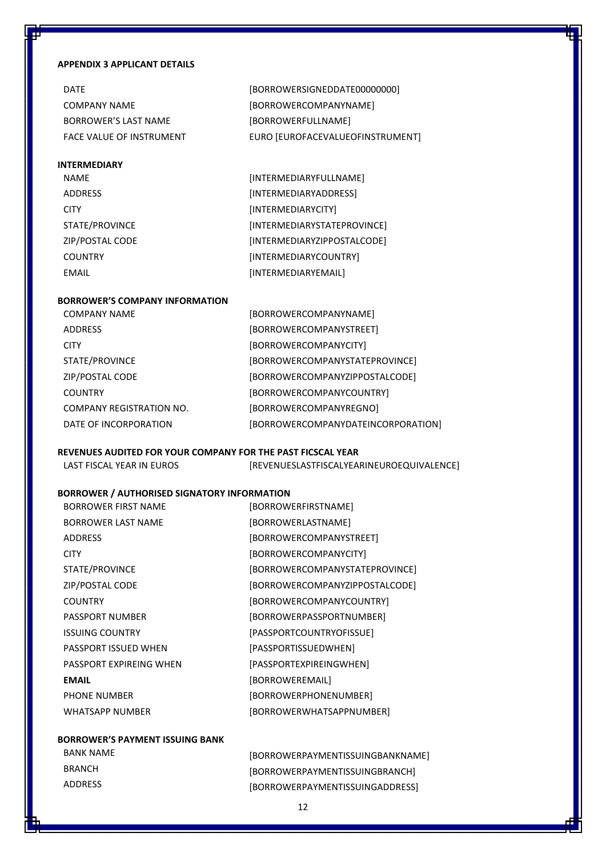### **APPENDIX 3 APPLICANT DETAILS**

| <b>DATF</b>              | [BORROWERSIGNEDDATE00000000]     |
|--------------------------|----------------------------------|
| COMPANY NAME             | [BORROWERCOMPANYNAME]            |
| BORROWER'S LAST NAME     | <b>IBORROWERFULLNAMEI</b>        |
| FACE VALUE OF INSTRUMENT | EURO [EUROFACEVALUEOFINSTRUMENT] |

### **INTERMEDIARY**

| <b>NAME</b>     | [INTERMEDIARYFULLNAME]      |
|-----------------|-----------------------------|
| <b>ADDRESS</b>  | [INTERMEDIARYADDRESS]       |
| <b>CITY</b>     | [INTERMEDIARYCITY]          |
| STATE/PROVINCE  | [INTERMEDIARYSTATEPROVINCE] |
| ZIP/POSTAL CODE | [INTERMEDIARYZIPPOSTALCODE] |
| <b>COUNTRY</b>  | [INTERMEDIARYCOUNTRY]       |
| EMAIL           | [INTERMEDIARYEMAIL]         |

### **BORROWER'S COMPANY INFORMATION**

| <b>COMPANY NAME</b>             | [BORROWERCOMPANYNAME]              |
|---------------------------------|------------------------------------|
| <b>ADDRESS</b>                  | [BORROWERCOMPANYSTREET]            |
| <b>CITY</b>                     | [BORROWERCOMPANYCITY]              |
| STATE/PROVINCE                  | [BORROWERCOMPANYSTATEPROVINCE]     |
| ZIP/POSTAL CODE                 | [BORROWERCOMPANYZIPPOSTALCODE]     |
| <b>COUNTRY</b>                  | [BORROWERCOMPANYCOUNTRY]           |
| <b>COMPANY REGISTRATION NO.</b> | [BORROWERCOMPANYREGNO]             |
| DATE OF INCORPORATION           | [BORROWERCOMPANYDATEINCORPORATION] |

### **REVENUES AUDITED FOR YOUR COMPANY FOR THE PAST FICSCAL YEAR**

| LAST FISCAL YEAR IN EUROS | [REVENUESLASTFISCALYEARINEUROEQUIVALENCE] |
|---------------------------|-------------------------------------------|
|---------------------------|-------------------------------------------|

### **BORROWER / AUTHORISED SIGNATORY INFORMATION**

| <b>BORROWER FIRST NAME</b> | [BORROWERFIRSTNAME]            |
|----------------------------|--------------------------------|
| <b>BORROWER LAST NAME</b>  | [BORROWERLASTNAME]             |
| <b>ADDRESS</b>             | [BORROWERCOMPANYSTREET]        |
| <b>CITY</b>                | [BORROWERCOMPANYCITY]          |
| STATE/PROVINCE             | [BORROWERCOMPANYSTATEPROVINCE] |
| ZIP/POSTAL CODE            | [BORROWERCOMPANYZIPPOSTALCODE] |
| <b>COUNTRY</b>             | [BORROWERCOMPANYCOUNTRY]       |
| <b>PASSPORT NUMBER</b>     | [BORROWERPASSPORTNUMBER]       |
| <b>ISSUING COUNTRY</b>     | [PASSPORTCOUNTRYOFISSUE]       |
| PASSPORT ISSUED WHEN       | [PASSPORTISSUEDWHEN]           |
| PASSPORT EXPIREING WHEN    | [PASSPORTEXPIREINGWHEN]        |
| <b>EMAIL</b>               | [BORROWEREMAIL]                |
| PHONE NUMBER               | [BORROWERPHONENUMBER]          |
| WHATSAPP NUMBER            | [BORROWERWHATSAPPNUMBER]       |

### **BORROWER'S PAYMENT ISSUING BANK**

and the contract of the contract of the

and the con-

| BANK NAME      | [BORROWERPAYMENTISSUINGBANKNAME] |
|----------------|----------------------------------|
| <b>BRANCH</b>  | [BORROWERPAYMENTISSUINGBRANCH]   |
| <b>ADDRESS</b> | [BORROWERPAYMENTISSUINGADDRESS]  |

<u> The Story of the Story of the Story of the Story of the Story of the Story of the Story of the Story of the Story of the Story of the Story of the Story of the Story of the Story of the Story of the Story of the Story of</u>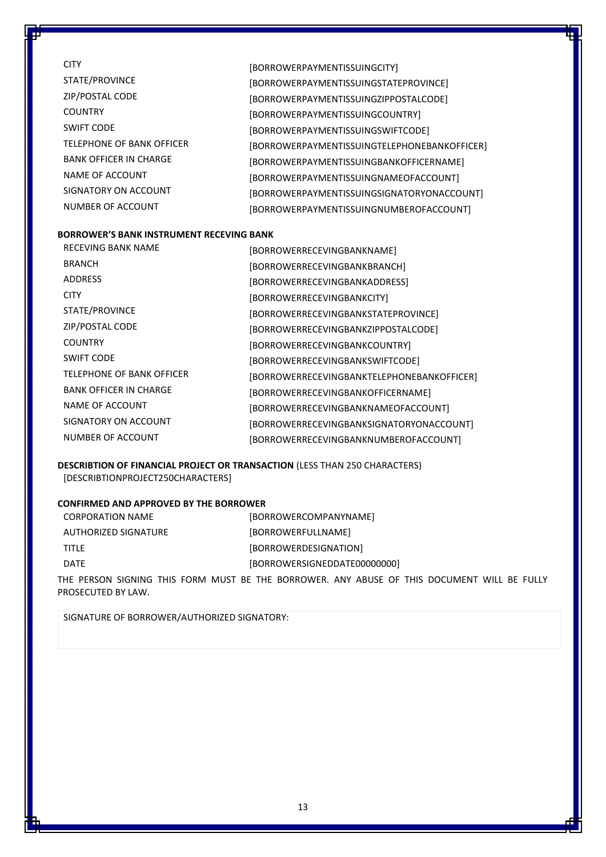| <b>CITY</b>                   | [BORROWERPAYMENTISSUINGCITY]                 |
|-------------------------------|----------------------------------------------|
| STATE/PROVINCE                | [BORROWERPAYMENTISSUINGSTATEPROVINCE]        |
| ZIP/POSTAL CODE               | [BORROWERPAYMENTISSUINGZIPPOSTALCODE]        |
| <b>COUNTRY</b>                | [BORROWERPAYMENTISSUINGCOUNTRY]              |
| <b>SWIFT CODE</b>             | [BORROWERPAYMENTISSUINGSWIFTCODE]            |
| TELEPHONE OF BANK OFFICER     | [BORROWERPAYMENTISSUINGTELEPHONEBANKOFFICER] |
| <b>BANK OFFICER IN CHARGE</b> | [BORROWERPAYMENTISSUINGBANKOFFICERNAME]      |
| NAME OF ACCOUNT               | [BORROWERPAYMENTISSUINGNAMEOFACCOUNT]        |
| SIGNATORY ON ACCOUNT          | [BORROWERPAYMENTISSUINGSIGNATORYONACCOUNT]   |
| NUMBER OF ACCOUNT             | [BORROWERPAYMENTISSUINGNUMBEROFACCOUNT]      |
|                               |                                              |

### **BORROWER'S BANK INSTRUMENT RECEVING BANK**

| <b>RECEVING BANK NAME</b>     | [BORROWERRECEVINGBANKNAME]                 |
|-------------------------------|--------------------------------------------|
| <b>BRANCH</b>                 | [BORROWERRECEVINGBANKBRANCH]               |
| <b>ADDRESS</b>                | [BORROWERRECEVINGBANKADDRESS]              |
| <b>CITY</b>                   | [BORROWERRECEVINGBANKCITY]                 |
| STATE/PROVINCE                | [BORROWERRECEVINGBANKSTATEPROVINCE]        |
| ZIP/POSTAL CODE               | [BORROWERRECEVINGBANKZIPPOSTALCODE]        |
| <b>COUNTRY</b>                | [BORROWERRECEVINGBANKCOUNTRY]              |
| <b>SWIFT CODE</b>             | [BORROWERRECEVINGBANKSWIFTCODE]            |
| TELEPHONE OF BANK OFFICER     | [BORROWERRECEVINGBANKTELEPHONEBANKOFFICER] |
| <b>BANK OFFICER IN CHARGE</b> | [BORROWERRECEVINGBANKOFFICERNAME]          |
| NAME OF ACCOUNT               | [BORROWERRECEVINGBANKNAMEOFACCOUNT]        |
| SIGNATORY ON ACCOUNT          | [BORROWERRECEVINGBANKSIGNATORYONACCOUNT]   |
| NUMBER OF ACCOUNT             | [BORROWERRECEVINGBANKNUMBEROFACCOUNT]      |

**DESCRIBTION OF FINANCIAL PROJECT OR TRANSACTION** (LESS THAN 250 CHARACTERS) [DESCRIBTIONPROJECT250CHARACTERS]

### **CONFIRMED AND APPROVED BY THE BORROWER**

| CORPORATION NAME     | [BORROWERCOMPANYNAME]        |
|----------------------|------------------------------|
| AUTHORIZED SIGNATURE | [BORROWERFULLNAME]           |
| <b>TITLE</b>         | [BORROWERDESIGNATION]        |
| <b>DATE</b>          | [BORROWERSIGNEDDATE00000000] |

THE PERSON SIGNING THIS FORM MUST BE THE BORROWER. ANY ABUSE OF THIS DOCUMENT WILL BE FULLY PROSECUTED BY LAW.

SIGNATURE OF BORROWER/AUTHORIZED SIGNATORY: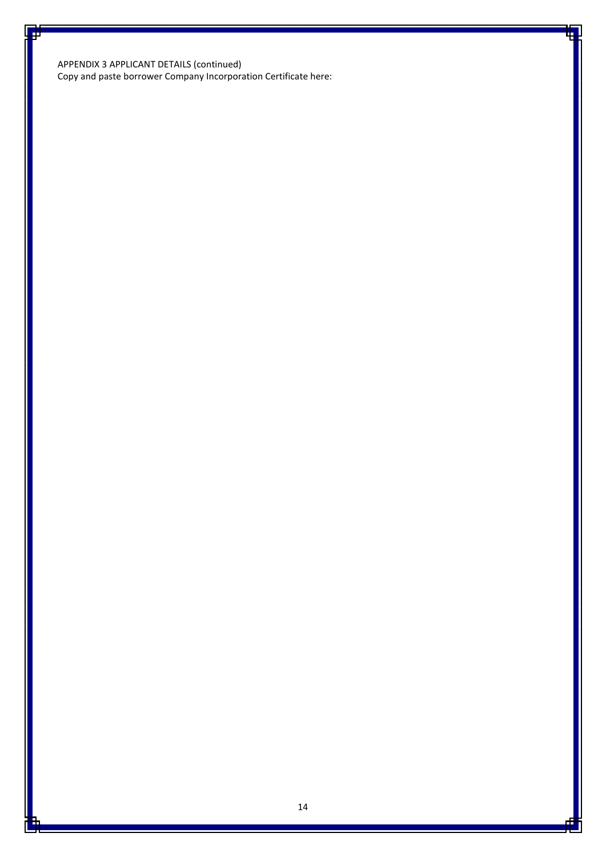APPENDIX 3 APPLICANT DETAILS (continued) Copy and paste borrower Company Incorporation Certificate here: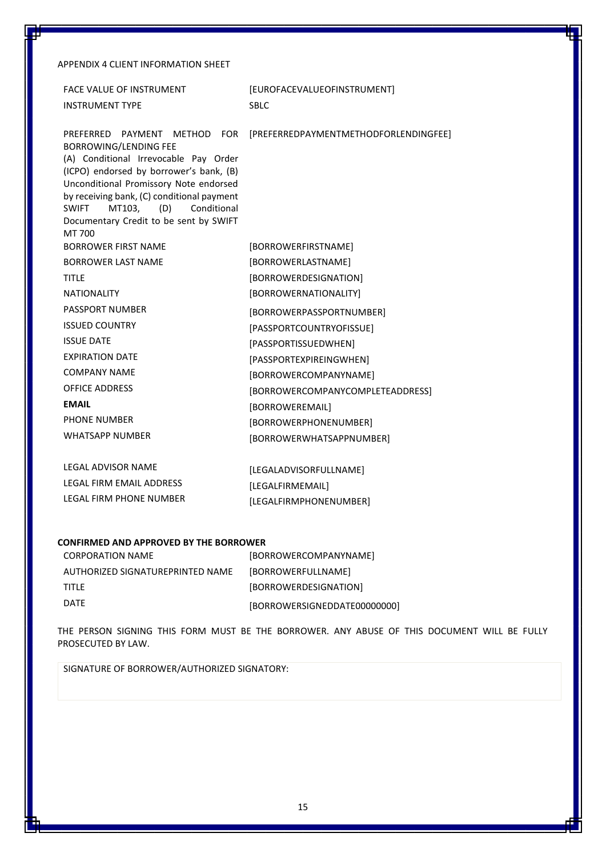### APPENDIX 4 CLIENT INFORMATION SHEET

| [EUROFACEVALUEOFINSTRUMENT]           |
|---------------------------------------|
| <b>SBLC</b>                           |
| [PREFERREDPAYMENTMETHODFORLENDINGFEE] |
| [BORROWERFIRSTNAME]                   |
| [BORROWERLASTNAME]                    |
| [BORROWERDESIGNATION]                 |
| [BORROWERNATIONALITY]                 |
| [BORROWERPASSPORTNUMBER]              |
| [PASSPORTCOUNTRYOFISSUE]              |
| [PASSPORTISSUEDWHEN]                  |
| [PASSPORTEXPIREINGWHEN]               |
| [BORROWERCOMPANYNAME]                 |
| [BORROWERCOMPANYCOMPLETEADDRESS]      |
| [BORROWEREMAIL]                       |
| [BORROWERPHONENUMBER]                 |
| [BORROWERWHATSAPPNUMBER]              |
| [LEGALADVISORFULLNAME]                |
| [LEGALFIRMEMAIL]                      |
| [LEGALFIRMPHONENUMBER]                |
|                                       |

### **CONFIRMED AND APPROVED BY THE BORROWER**

| <b>CORPORATION NAME</b>          | [BORROWERCOMPANYNAME]        |
|----------------------------------|------------------------------|
| AUTHORIZED SIGNATUREPRINTED NAME | [BORROWERFULLNAME]           |
| <b>TITI F</b>                    | [BORROWERDESIGNATION]        |
| DATF                             | [BORROWERSIGNEDDATE00000000] |

THE PERSON SIGNING THIS FORM MUST BE THE BORROWER. ANY ABUSE OF THIS DOCUMENT WILL BE FULLY PROSECUTED BY LAW.

SIGNATURE OF BORROWER/AUTHORIZED SIGNATORY: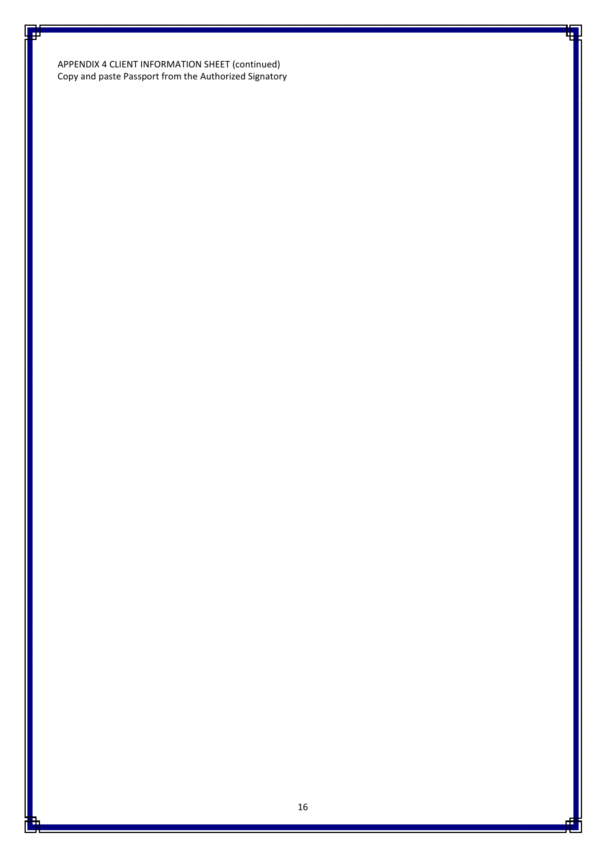APPENDIX 4 CLIENT INFORMATION SHEET (continued) Copy and paste Passport from the Authorized Signatory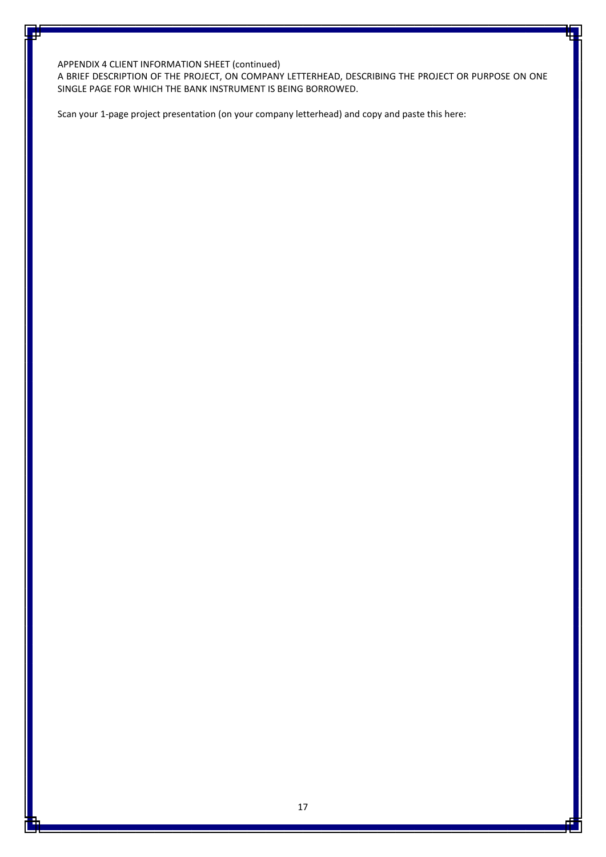APPENDIX 4 CLIENT INFORMATION SHEET (continued)

A BRIEF DESCRIPTION OF THE PROJECT, ON COMPANY LETTERHEAD, DESCRIBING THE PROJECT OR PURPOSE ON ONE SINGLE PAGE FOR WHICH THE BANK INSTRUMENT IS BEING BORROWED.

Scan your 1-page project presentation (on your company letterhead) and copy and paste this here: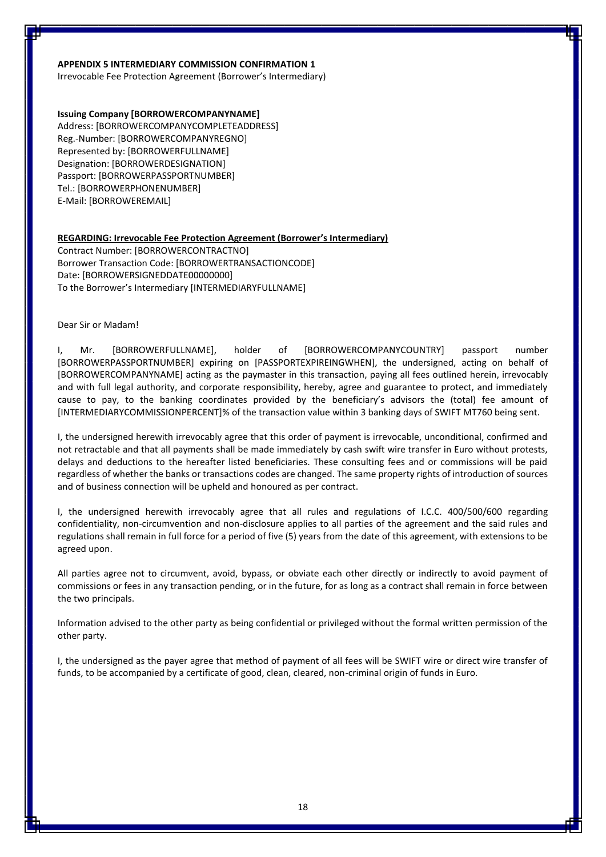### **APPENDIX 5 INTERMEDIARY COMMISSION CONFIRMATION 1**

Irrevocable Fee Protection Agreement (Borrower's Intermediary)

### **Issuing Company [BORROWERCOMPANYNAME]**

Address: [BORROWERCOMPANYCOMPLETEADDRESS] Reg.-Number: [BORROWERCOMPANYREGNO] Represented by: [BORROWERFULLNAME] Designation: [BORROWERDESIGNATION] Passport: [BORROWERPASSPORTNUMBER] Tel.: [BORROWERPHONENUMBER] E-Mail: [BORROWEREMAIL]

### **REGARDING: Irrevocable Fee Protection Agreement (Borrower's Intermediary)**

Contract Number: [BORROWERCONTRACTNO] Borrower Transaction Code: [BORROWERTRANSACTIONCODE] Date: [BORROWERSIGNEDDATE00000000] To the Borrower's Intermediary [INTERMEDIARYFULLNAME]

#### Dear Sir or Madam!

I, Mr. [BORROWERFULLNAME], holder of [BORROWERCOMPANYCOUNTRY] passport number [BORROWERPASSPORTNUMBER] expiring on [PASSPORTEXPIREINGWHEN], the undersigned, acting on behalf of [BORROWERCOMPANYNAME] acting as the paymaster in this transaction, paying all fees outlined herein, irrevocably and with full legal authority, and corporate responsibility, hereby, agree and guarantee to protect, and immediately cause to pay, to the banking coordinates provided by the beneficiary's advisors the (total) fee amount of [INTERMEDIARYCOMMISSIONPERCENT]% of the transaction value within 3 banking days of SWIFT MT760 being sent.

I, the undersigned herewith irrevocably agree that this order of payment is irrevocable, unconditional, confirmed and not retractable and that all payments shall be made immediately by cash swift wire transfer in Euro without protests, delays and deductions to the hereafter listed beneficiaries. These consulting fees and or commissions will be paid regardless of whether the banks or transactions codes are changed. The same property rights of introduction of sources and of business connection will be upheld and honoured as per contract.

I, the undersigned herewith irrevocably agree that all rules and regulations of I.C.C. 400/500/600 regarding confidentiality, non-circumvention and non-disclosure applies to all parties of the agreement and the said rules and regulations shall remain in full force for a period of five (5) years from the date of this agreement, with extensions to be agreed upon.

All parties agree not to circumvent, avoid, bypass, or obviate each other directly or indirectly to avoid payment of commissions or fees in any transaction pending, or in the future, for as long as a contract shall remain in force between the two principals.

Information advised to the other party as being confidential or privileged without the formal written permission of the other party.

I, the undersigned as the payer agree that method of payment of all fees will be SWIFT wire or direct wire transfer of funds, to be accompanied by a certificate of good, clean, cleared, non-criminal origin of funds in Euro.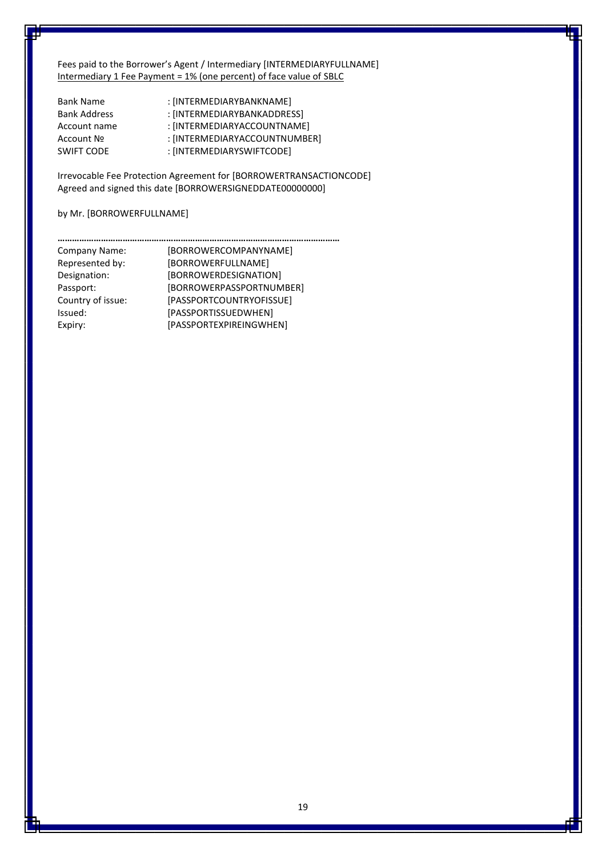Fees paid to the Borrower's Agent / Intermediary [INTERMEDIARYFULLNAME] Intermediary 1 Fee Payment = 1% (one percent) of face value of SBLC

| <b>Bank Name</b>    | : [INTERMEDIARYBANKNAME]      |
|---------------------|-------------------------------|
| <b>Bank Address</b> | : [INTERMEDIARYBANKADDRESS]   |
| Account name        | : [INTERMEDIARYACCOUNTNAME]   |
| Account Nº          | : [INTERMEDIARYACCOUNTNUMBER] |
| <b>SWIFT CODE</b>   | : [INTERMEDIARYSWIFTCODE]     |

Irrevocable Fee Protection Agreement for [BORROWERTRANSACTIONCODE] Agreed and signed this date [BORROWERSIGNEDDATE00000000]

### by Mr. [BORROWERFULLNAME]

| Company Name:     | [BORROWERCOMPANYNAME]    |
|-------------------|--------------------------|
| Represented by:   | [BORROWERFULLNAME]       |
| Designation:      | [BORROWERDESIGNATION]    |
| Passport:         | [BORROWERPASSPORTNUMBER] |
| Country of issue: | [PASSPORTCOUNTRYOFISSUE] |
| Issued:           | [PASSPORTISSUEDWHEN]     |
| Expiry:           | [PASSPORTEXPIREINGWHEN]  |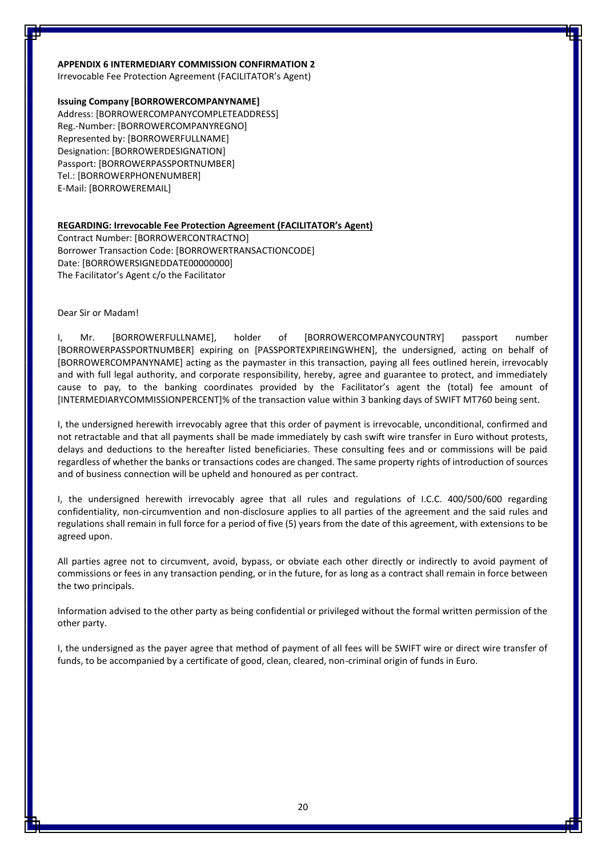### **APPENDIX 6 INTERMEDIARY COMMISSION CONFIRMATION 2**

Irrevocable Fee Protection Agreement (FACILITATOR's Agent)

### **Issuing Company [BORROWERCOMPANYNAME]**

Address: [BORROWERCOMPANYCOMPLETEADDRESS] Reg.-Number: [BORROWERCOMPANYREGNO] Represented by: [BORROWERFULLNAME] Designation: [BORROWERDESIGNATION] Passport: [BORROWERPASSPORTNUMBER] Tel.: [BORROWERPHONENUMBER] E-Mail: [BORROWEREMAIL]

### **REGARDING: Irrevocable Fee Protection Agreement (FACILITATOR's Agent)**

Contract Number: [BORROWERCONTRACTNO] Borrower Transaction Code: [BORROWERTRANSACTIONCODE] Date: [BORROWERSIGNEDDATE00000000] The Facilitator's Agent c/o the Facilitator

#### Dear Sir or Madam!

I, Mr. [BORROWERFULLNAME], holder of [BORROWERCOMPANYCOUNTRY] passport number [BORROWERPASSPORTNUMBER] expiring on [PASSPORTEXPIREINGWHEN], the undersigned, acting on behalf of [BORROWERCOMPANYNAME] acting as the paymaster in this transaction, paying all fees outlined herein, irrevocably and with full legal authority, and corporate responsibility, hereby, agree and guarantee to protect, and immediately cause to pay, to the banking coordinates provided by the Facilitator's agent the (total) fee amount of [INTERMEDIARYCOMMISSIONPERCENT]% of the transaction value within 3 banking days of SWIFT MT760 being sent.

I, the undersigned herewith irrevocably agree that this order of payment is irrevocable, unconditional, confirmed and not retractable and that all payments shall be made immediately by cash swift wire transfer in Euro without protests, delays and deductions to the hereafter listed beneficiaries. These consulting fees and or commissions will be paid regardless of whether the banks or transactions codes are changed. The same property rights of introduction of sources and of business connection will be upheld and honoured as per contract.

I, the undersigned herewith irrevocably agree that all rules and regulations of I.C.C. 400/500/600 regarding confidentiality, non-circumvention and non-disclosure applies to all parties of the agreement and the said rules and regulations shall remain in full force for a period of five (5) years from the date of this agreement, with extensions to be agreed upon.

All parties agree not to circumvent, avoid, bypass, or obviate each other directly or indirectly to avoid payment of commissions or fees in any transaction pending, or in the future, for as long as a contract shall remain in force between the two principals.

Information advised to the other party as being confidential or privileged without the formal written permission of the other party.

I, the undersigned as the payer agree that method of payment of all fees will be SWIFT wire or direct wire transfer of funds, to be accompanied by a certificate of good, clean, cleared, non-criminal origin of funds in Euro.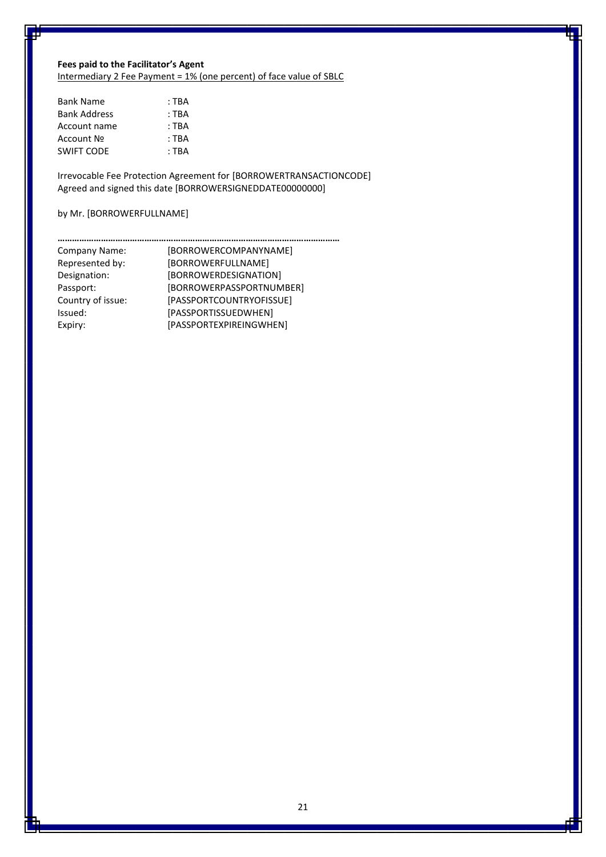# **Fees paid to the Facilitator's Agent**

Intermediary 2 Fee Payment = 1% (one percent) of face value of SBLC

| : TBA   |
|---------|
| $:$ TRA |
| $:$ TRA |
| $:$ TRA |
| $:$ TRA |
|         |

Irrevocable Fee Protection Agreement for [BORROWERTRANSACTIONCODE] Agreed and signed this date [BORROWERSIGNEDDATE00000000]

### by Mr. [BORROWERFULLNAME]

| Company Name:     | [BORROWERCOMPANYNAME]    |
|-------------------|--------------------------|
| Represented by:   | [BORROWERFULLNAME]       |
| Designation:      | [BORROWERDESIGNATION]    |
| Passport:         | [BORROWERPASSPORTNUMBER] |
| Country of issue: | [PASSPORTCOUNTRYOFISSUE] |
| Issued:           | [PASSPORTISSUEDWHEN]     |
| Expiry:           | [PASSPORTEXPIREINGWHEN]  |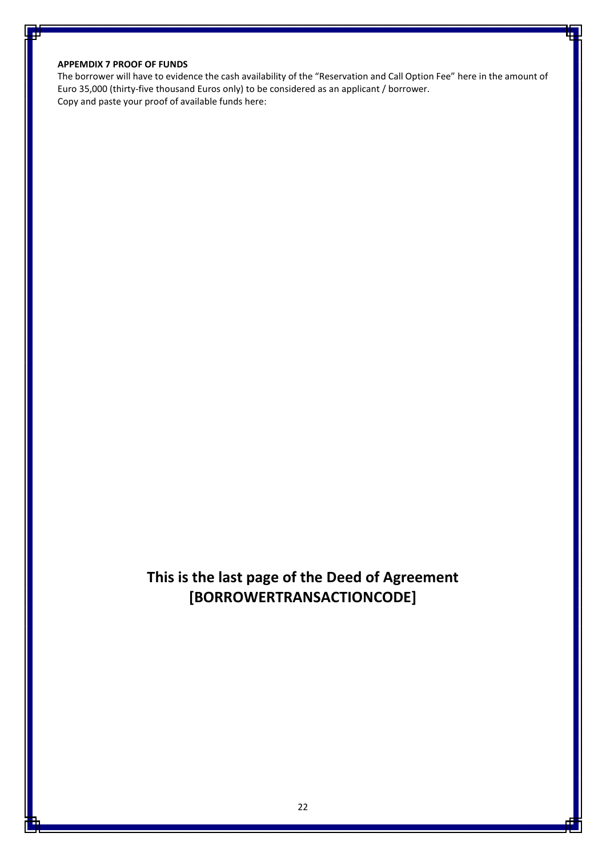### **APPEMDIX 7 PROOF OF FUNDS**

The borrower will have to evidence the cash availability of the "Reservation and Call Option Fee" here in the amount of Euro 35,000 (thirty-five thousand Euros only) to be considered as an applicant / borrower. Copy and paste your proof of available funds here:

# **This is the last page of the Deed of Agreement [BORROWERTRANSACTIONCODE]**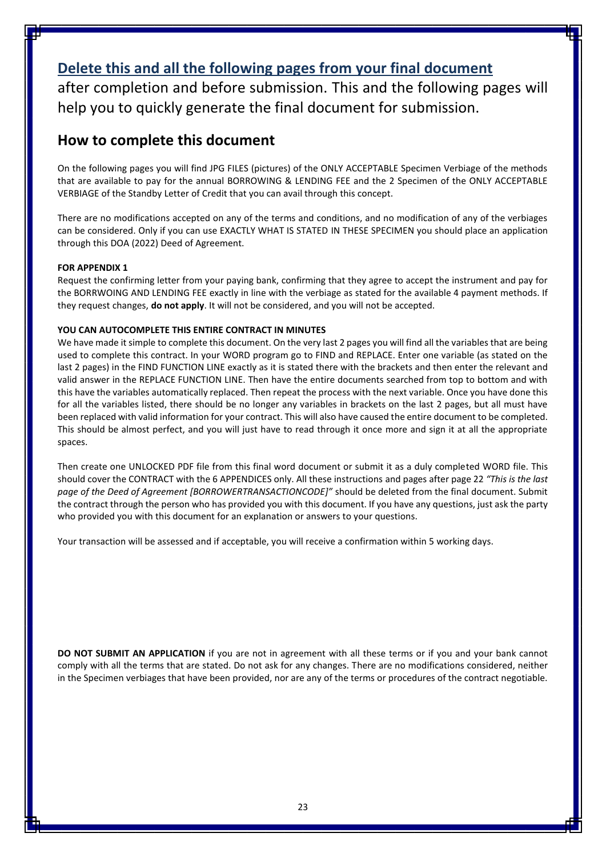# **Delete this and all the following pages from your final document**

after completion and before submission. This and the following pages will help you to quickly generate the final document for submission.

## **How to complete this document**

On the following pages you will find JPG FILES (pictures) of the ONLY ACCEPTABLE Specimen Verbiage of the methods that are available to pay for the annual BORROWING & LENDING FEE and the 2 Specimen of the ONLY ACCEPTABLE VERBIAGE of the Standby Letter of Credit that you can avail through this concept.

There are no modifications accepted on any of the terms and conditions, and no modification of any of the verbiages can be considered. Only if you can use EXACTLY WHAT IS STATED IN THESE SPECIMEN you should place an application through this DOA (2022) Deed of Agreement.

### **FOR APPENDIX 1**

Request the confirming letter from your paying bank, confirming that they agree to accept the instrument and pay for the BORRWOING AND LENDING FEE exactly in line with the verbiage as stated for the available 4 payment methods. If they request changes, **do not apply**. It will not be considered, and you will not be accepted.

### **YOU CAN AUTOCOMPLETE THIS ENTIRE CONTRACT IN MINUTES**

We have made it simple to complete this document. On the very last 2 pages you will find all the variables that are being used to complete this contract. In your WORD program go to FIND and REPLACE. Enter one variable (as stated on the last 2 pages) in the FIND FUNCTION LINE exactly as it is stated there with the brackets and then enter the relevant and valid answer in the REPLACE FUNCTION LINE. Then have the entire documents searched from top to bottom and with this have the variables automatically replaced. Then repeat the process with the next variable. Once you have done this for all the variables listed, there should be no longer any variables in brackets on the last 2 pages, but all must have been replaced with valid information for your contract. This will also have caused the entire document to be completed. This should be almost perfect, and you will just have to read through it once more and sign it at all the appropriate spaces.

Then create one UNLOCKED PDF file from this final word document or submit it as a duly completed WORD file. This should cover the CONTRACT with the 6 APPENDICES only. All these instructions and pages after page 22 *"This is the last page of the Deed of Agreement [BORROWERTRANSACTIONCODE]"* should be deleted from the final document. Submit the contract through the person who has provided you with this document. If you have any questions, just ask the party who provided you with this document for an explanation or answers to your questions.

Your transaction will be assessed and if acceptable, you will receive a confirmation within 5 working days.

**DO NOT SUBMIT AN APPLICATION** if you are not in agreement with all these terms or if you and your bank cannot comply with all the terms that are stated. Do not ask for any changes. There are no modifications considered, neither in the Specimen verbiages that have been provided, nor are any of the terms or procedures of the contract negotiable.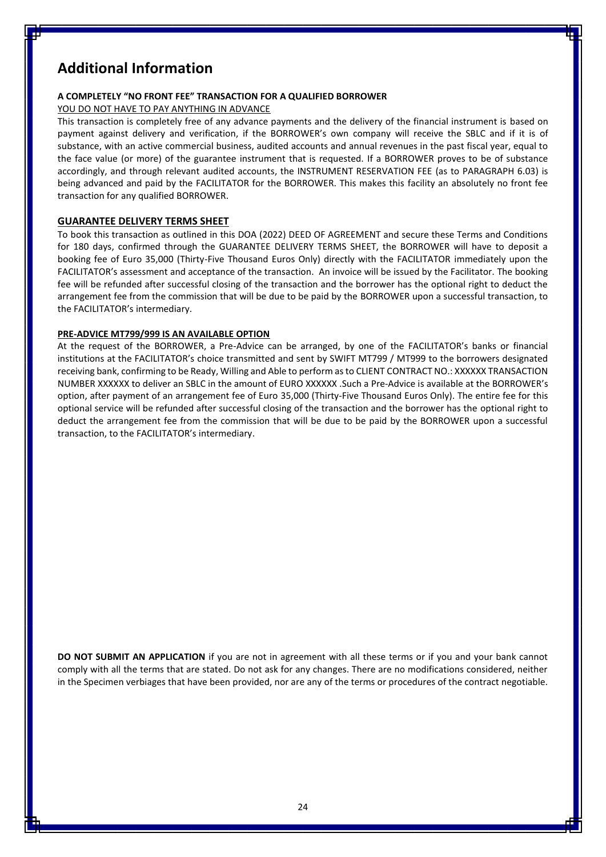# **Additional Information**

### **A COMPLETELY "NO FRONT FEE" TRANSACTION FOR A QUALIFIED BORROWER**

### YOU DO NOT HAVE TO PAY ANYTHING IN ADVANCE

This transaction is completely free of any advance payments and the delivery of the financial instrument is based on payment against delivery and verification, if the BORROWER's own company will receive the SBLC and if it is of substance, with an active commercial business, audited accounts and annual revenues in the past fiscal year, equal to the face value (or more) of the guarantee instrument that is requested. If a BORROWER proves to be of substance accordingly, and through relevant audited accounts, the INSTRUMENT RESERVATION FEE (as to PARAGRAPH 6.03) is being advanced and paid by the FACILITATOR for the BORROWER. This makes this facility an absolutely no front fee transaction for any qualified BORROWER.

### **GUARANTEE DELIVERY TERMS SHEET**

To book this transaction as outlined in this DOA (2022) DEED OF AGREEMENT and secure these Terms and Conditions for 180 days, confirmed through the GUARANTEE DELIVERY TERMS SHEET, the BORROWER will have to deposit a booking fee of Euro 35,000 (Thirty-Five Thousand Euros Only) directly with the FACILITATOR immediately upon the FACILITATOR's assessment and acceptance of the transaction. An invoice will be issued by the Facilitator. The booking fee will be refunded after successful closing of the transaction and the borrower has the optional right to deduct the arrangement fee from the commission that will be due to be paid by the BORROWER upon a successful transaction, to the FACILITATOR's intermediary.

### **PRE-ADVICE MT799/999 IS AN AVAILABLE OPTION**

At the request of the BORROWER, a Pre-Advice can be arranged, by one of the FACILITATOR's banks or financial institutions at the FACILITATOR's choice transmitted and sent by SWIFT MT799 / MT999 to the borrowers designated receiving bank, confirming to be Ready, Willing and Able to perform as to CLIENT CONTRACT NO.: XXXXXX TRANSACTION NUMBER XXXXXX to deliver an SBLC in the amount of EURO XXXXXX .Such a Pre-Advice is available at the BORROWER's option, after payment of an arrangement fee of Euro 35,000 (Thirty-Five Thousand Euros Only). The entire fee for this optional service will be refunded after successful closing of the transaction and the borrower has the optional right to deduct the arrangement fee from the commission that will be due to be paid by the BORROWER upon a successful transaction, to the FACILITATOR's intermediary.

**DO NOT SUBMIT AN APPLICATION** if you are not in agreement with all these terms or if you and your bank cannot comply with all the terms that are stated. Do not ask for any changes. There are no modifications considered, neither in the Specimen verbiages that have been provided, nor are any of the terms or procedures of the contract negotiable.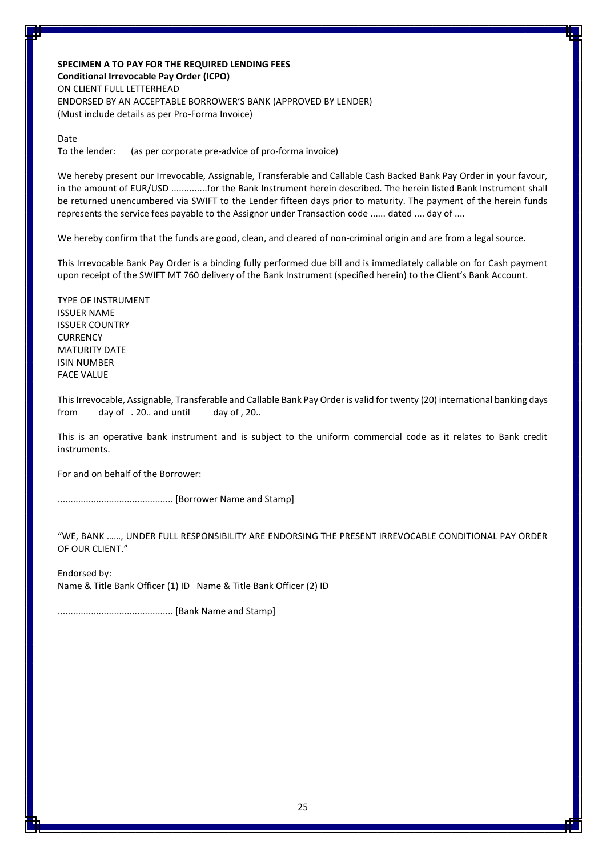**SPECIMEN A TO PAY FOR THE REQUIRED LENDING FEES Conditional Irrevocable Pay Order (ICPO)** ON CLIENT FULL LETTERHEAD ENDORSED BY AN ACCEPTABLE BORROWER'S BANK (APPROVED BY LENDER) (Must include details as per Pro-Forma Invoice)

Date

To the lender: (as per corporate pre-advice of pro-forma invoice)

We hereby present our Irrevocable, Assignable, Transferable and Callable Cash Backed Bank Pay Order in your favour, in the amount of EUR/USD ..............for the Bank Instrument herein described. The herein listed Bank Instrument shall be returned unencumbered via SWIFT to the Lender fifteen days prior to maturity. The payment of the herein funds represents the service fees payable to the Assignor under Transaction code ...... dated .... day of ....

We hereby confirm that the funds are good, clean, and cleared of non-criminal origin and are from a legal source.

This Irrevocable Bank Pay Order is a binding fully performed due bill and is immediately callable on for Cash payment upon receipt of the SWIFT MT 760 delivery of the Bank Instrument (specified herein) to the Client's Bank Account.

TYPE OF INSTRUMENT ISSUER NAME ISSUER COUNTRY **CURRENCY** MATURITY DATE ISIN NUMBER FACE VALUE

This Irrevocable, Assignable, Transferable and Callable Bank Pay Order is valid for twenty (20) international banking days from day of . 20.. and until day of , 20..

This is an operative bank instrument and is subject to the uniform commercial code as it relates to Bank credit instruments.

For and on behalf of the Borrower:

............................................. [Borrower Name and Stamp]

"WE, BANK ……, UNDER FULL RESPONSIBILITY ARE ENDORSING THE PRESENT IRREVOCABLE CONDITIONAL PAY ORDER OF OUR CLIENT."

Endorsed by:

Name & Title Bank Officer (1) ID Name & Title Bank Officer (2) ID

............................................. [Bank Name and Stamp]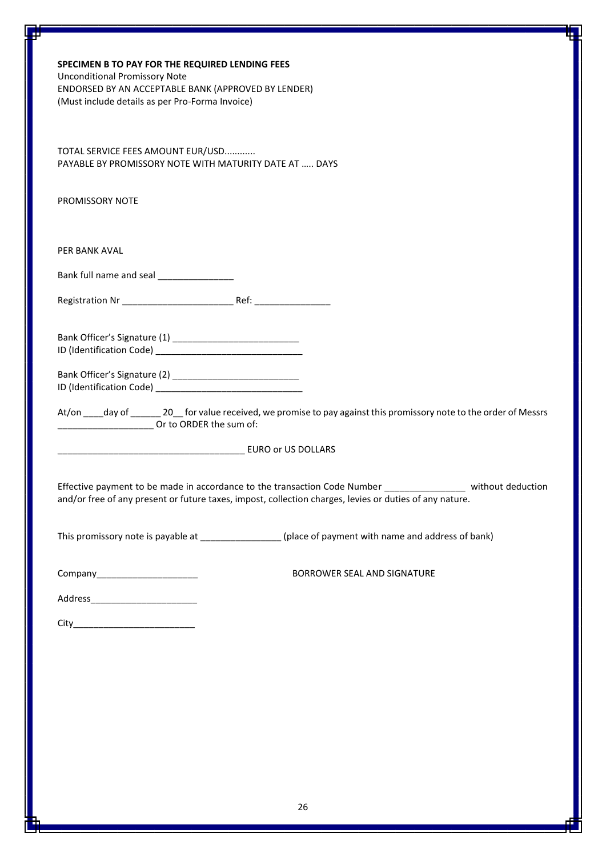| SPECIMEN B TO PAY FOR THE REQUIRED LENDING FEES<br><b>Unconditional Promissory Note</b><br>ENDORSED BY AN ACCEPTABLE BANK (APPROVED BY LENDER)<br>(Must include details as per Pro-Forma Invoice)                      |  |  |
|------------------------------------------------------------------------------------------------------------------------------------------------------------------------------------------------------------------------|--|--|
| TOTAL SERVICE FEES AMOUNT EUR/USD<br>PAYABLE BY PROMISSORY NOTE WITH MATURITY DATE AT  DAYS                                                                                                                            |  |  |
| PROMISSORY NOTE                                                                                                                                                                                                        |  |  |
| PER BANK AVAL                                                                                                                                                                                                          |  |  |
| Bank full name and seal _______________                                                                                                                                                                                |  |  |
|                                                                                                                                                                                                                        |  |  |
| Bank Officer's Signature (2) _______________________________                                                                                                                                                           |  |  |
| At/on ____day of ________ 20___ for value received, we promise to pay against this promissory note to the order of Messrs<br>Dr to ORDER the sum of:                                                                   |  |  |
|                                                                                                                                                                                                                        |  |  |
| Effective payment to be made in accordance to the transaction Code Number _______________ without deduction<br>and/or free of any present or future taxes, impost, collection charges, levies or duties of any nature. |  |  |
| This promissory note is payable at _________________(place of payment with name and address of bank)                                                                                                                   |  |  |
| BORROWER SEAL AND SIGNATURE<br>Company_______________________                                                                                                                                                          |  |  |
| Address__________________________                                                                                                                                                                                      |  |  |
|                                                                                                                                                                                                                        |  |  |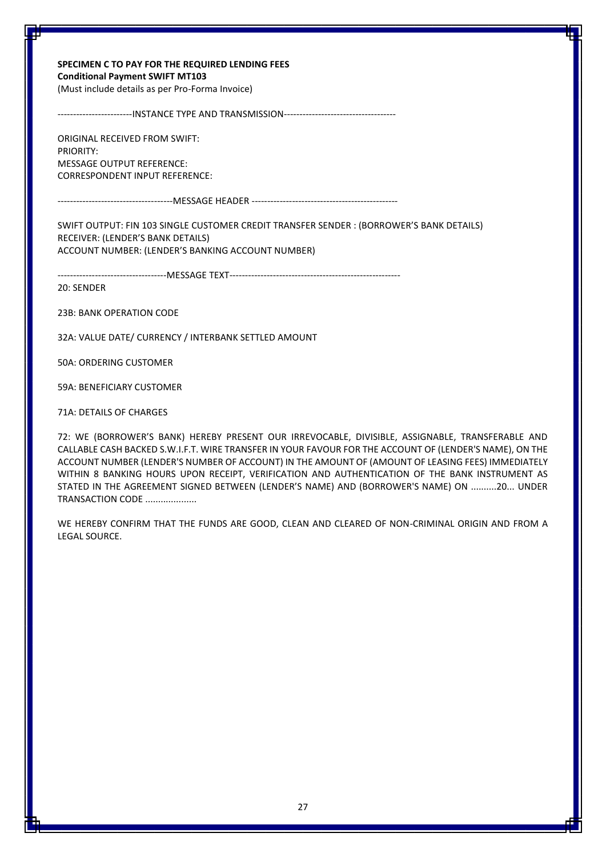### **SPECIMEN C TO PAY FOR THE REQUIRED LENDING FEES Conditional Payment SWIFT MT103**

(Must include details as per Pro-Forma Invoice)

------------------------INSTANCE TYPE AND TRANSMISSION------------------------------------

ORIGINAL RECEIVED FROM SWIFT: PRIORITY: MESSAGE OUTPUT REFERENCE: CORRESPONDENT INPUT REFERENCE:

-------------------------------------MESSAGE HEADER -----------------------------------------------

SWIFT OUTPUT: FIN 103 SINGLE CUSTOMER CREDIT TRANSFER SENDER : (BORROWER'S BANK DETAILS) RECEIVER: (LENDER'S BANK DETAILS) ACCOUNT NUMBER: (LENDER'S BANKING ACCOUNT NUMBER)

-----------------------------------MESSAGE TEXT-------------------------------------------------------

20: SENDER

23B: BANK OPERATION CODE

32A: VALUE DATE/ CURRENCY / INTERBANK SETTLED AMOUNT

50A: ORDERING CUSTOMER

59A: BENEFICIARY CUSTOMER

71A: DETAILS OF CHARGES

72: WE (BORROWER'S BANK) HEREBY PRESENT OUR IRREVOCABLE, DIVISIBLE, ASSIGNABLE, TRANSFERABLE AND CALLABLE CASH BACKED S.W.I.F.T. WIRE TRANSFER IN YOUR FAVOUR FOR THE ACCOUNT OF (LENDER'S NAME), ON THE ACCOUNT NUMBER (LENDER'S NUMBER OF ACCOUNT) IN THE AMOUNT OF (AMOUNT OF LEASING FEES) IMMEDIATELY WITHIN 8 BANKING HOURS UPON RECEIPT, VERIFICATION AND AUTHENTICATION OF THE BANK INSTRUMENT AS STATED IN THE AGREEMENT SIGNED BETWEEN (LENDER'S NAME) AND (BORROWER'S NAME) ON ..........20... UNDER TRANSACTION CODE ....................

WE HEREBY CONFIRM THAT THE FUNDS ARE GOOD, CLEAN AND CLEARED OF NON-CRIMINAL ORIGIN AND FROM A LEGAL SOURCE.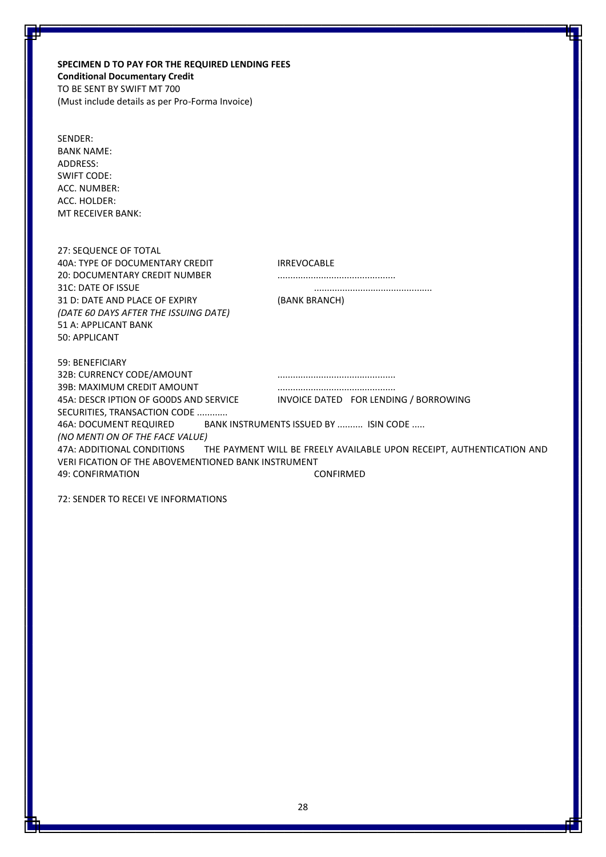**SPECIMEN D TO PAY FOR THE REQUIRED LENDING FEES Conditional Documentary Credit** TO BE SENT BY SWIFT MT 700 (Must include details as per Pro-Forma Invoice)

| SENDER:           |  |  |
|-------------------|--|--|
| <b>BANK NAME:</b> |  |  |
| ADDRESS:          |  |  |
| SWIFT CODE:       |  |  |
| ACC. NUMBER:      |  |  |
| ACC. HOLDER:      |  |  |
| MT RECEIVER BANK: |  |  |

| 27: SEQUENCE OF TOTAL                               |                                                                                                  |
|-----------------------------------------------------|--------------------------------------------------------------------------------------------------|
| 40A: TYPE OF DOCUMENTARY CREDIT                     | <b>IRREVOCABLE</b>                                                                               |
| 20: DOCUMENTARY CREDIT NUMBER                       |                                                                                                  |
| 31C: DATE OF ISSUE                                  |                                                                                                  |
| 31 D: DATE AND PLACE OF EXPIRY                      | (BANK BRANCH)                                                                                    |
| (DATE 60 DAYS AFTER THE ISSUING DATE)               |                                                                                                  |
| 51 A: APPLICANT BANK                                |                                                                                                  |
| 50: APPLICANT                                       |                                                                                                  |
|                                                     |                                                                                                  |
| 59: BENEFICIARY                                     |                                                                                                  |
| 32B: CURRENCY CODE/AMOUNT                           |                                                                                                  |
| 39B: MAXIMUM CREDIT AMOUNT                          |                                                                                                  |
| 45A: DESCR IPTION OF GOODS AND SERVICE              | INVOICE DATED FOR LENDING / BORROWING                                                            |
| SECURITIES, TRANSACTION CODE                        |                                                                                                  |
|                                                     | 46A: DOCUMENT REQUIRED BANK INSTRUMENTS ISSUED BY  ISIN CODE                                     |
| (NO MENTI ON OF THE FACE VALUE)                     |                                                                                                  |
|                                                     | 47A: ADDITIONAL CONDITIONS THE PAYMENT WILL BE FREELY AVAILABLE UPON RECEIPT, AUTHENTICATION AND |
| VERI FICATION OF THE ABOVEMENTIONED BANK INSTRUMENT |                                                                                                  |
| 49: CONFIRMATION                                    | CONFIRMED                                                                                        |

72: SENDER TO RECEI VE INFORMATIONS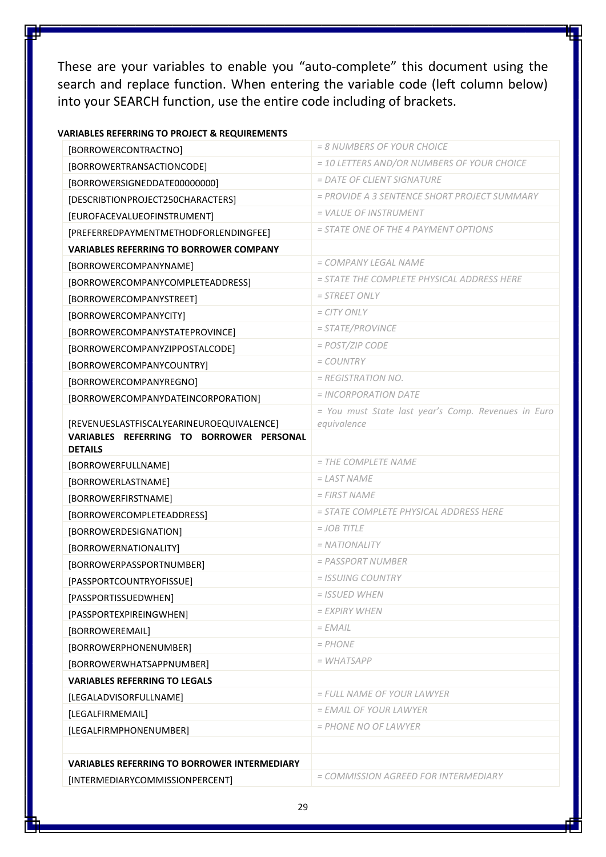These are your variables to enable you "auto-complete" this document using the search and replace function. When entering the variable code (left column below) into your SEARCH function, use the entire code including of brackets.

| [BORROWERCONTRACTNO]                                                                  | = 8 NUMBERS OF YOUR CHOICE                          |
|---------------------------------------------------------------------------------------|-----------------------------------------------------|
| [BORROWERTRANSACTIONCODE]                                                             | = 10 LETTERS AND/OR NUMBERS OF YOUR CHOICE          |
| [BORROWERSIGNEDDATE00000000]                                                          | $=$ DATE OF CLIENT SIGNATURE                        |
| [DESCRIBTIONPROJECT250CHARACTERS]                                                     | = PROVIDE A 3 SENTENCE SHORT PROJECT SUMMARY        |
| [EUROFACEVALUEOFINSTRUMENT]                                                           | = VALUE OF INSTRUMENT                               |
| [PREFERREDPAYMENTMETHODFORLENDINGFEE]                                                 | = STATE ONE OF THE 4 PAYMENT OPTIONS                |
| <b>VARIABLES REFERRING TO BORROWER COMPANY</b>                                        |                                                     |
| [BORROWERCOMPANYNAME]                                                                 | = COMPANY LEGAL NAME                                |
| [BORROWERCOMPANYCOMPLETEADDRESS]                                                      | = STATE THE COMPLETE PHYSICAL ADDRESS HERE          |
| [BORROWERCOMPANYSTREET]                                                               | $=$ STREET ONLY                                     |
| [BORROWERCOMPANYCITY]                                                                 | $= CITY$ ONLY                                       |
| [BORROWERCOMPANYSTATEPROVINCE]                                                        | $= STATE/PROVINCE$                                  |
| [BORROWERCOMPANYZIPPOSTALCODE]                                                        | $=$ POST/ZIP CODE                                   |
| [BORROWERCOMPANYCOUNTRY]                                                              | $= COUNTRY$                                         |
| [BORROWERCOMPANYREGNO]                                                                | $= REGISTRATION NO.$                                |
| [BORROWERCOMPANYDATEINCORPORATION]                                                    | $= INCORPORTION$ DATE                               |
|                                                                                       | = You must State last year's Comp. Revenues in Euro |
| [REVENUESLASTFISCALYEARINEUROEQUIVALENCE]<br>VARIABLES REFERRING TO BORROWER PERSONAL | equivalence                                         |
| <b>DETAILS</b>                                                                        |                                                     |
| [BORROWERFULLNAME]                                                                    | $=$ THE COMPLETE NAME                               |
| [BORROWERLASTNAME]                                                                    | $=$ LAST NAME                                       |
| [BORROWERFIRSTNAME]                                                                   | $= FIRST NAME$                                      |
| [BORROWERCOMPLETEADDRESS]                                                             | = STATE COMPLETE PHYSICAL ADDRESS HERE              |
| [BORROWERDESIGNATION]                                                                 | $= JOB$ TITLE                                       |
| [BORROWERNATIONALITY]                                                                 | $=$ NATIONALITY                                     |
| [BORROWERPASSPORTNUMBER]                                                              | $=$ PASSPORT NUMBER                                 |
| [PASSPORTCOUNTRYOFISSUE]                                                              | $=$ ISSUING COUNTRY                                 |
| [PASSPORTISSUEDWHEN]                                                                  | = ISSUED WHEN                                       |
| [PASSPORTEXPIREINGWHEN]                                                               | <i>= EXPIRY WHEN</i>                                |
| [BORROWEREMAIL]                                                                       | $= EMAIL$                                           |
| [BORROWERPHONENUMBER]                                                                 | $= PHONE$                                           |
| [BORROWERWHATSAPPNUMBER]                                                              | $= WHATSAPP$                                        |
| <b>VARIABLES REFERRING TO LEGALS</b>                                                  |                                                     |
| [LEGALADVISORFULLNAME]                                                                | = FULL NAME OF YOUR LAWYER                          |
| [LEGALFIRMEMAIL]                                                                      | $=$ EMAIL OF YOUR LAWYER                            |
| [LEGALFIRMPHONENUMBER]                                                                | $=$ PHONE NO OF LAWYER                              |
|                                                                                       |                                                     |
| <b>VARIABLES REFERRING TO BORROWER INTERMEDIARY</b>                                   |                                                     |
| [INTERMEDIARYCOMMISSIONPERCENT]                                                       | = COMMISSION AGREED FOR INTERMEDIARY                |